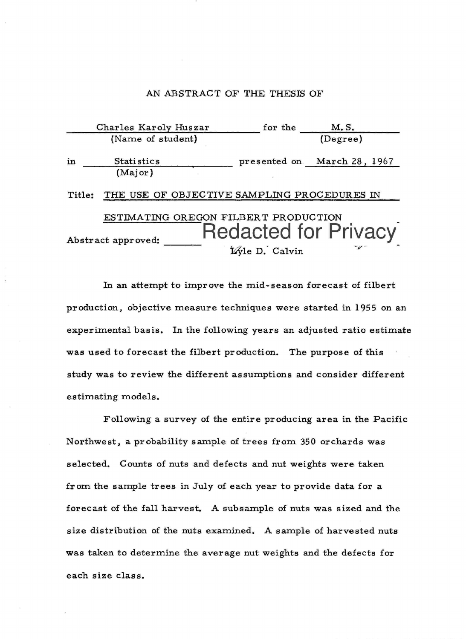#### AN ABSTRACT OF THE THESIS OF

|        | Charles Karoly Huszar                                      | for the        | M.S.                        |
|--------|------------------------------------------------------------|----------------|-----------------------------|
|        | (Name of student)                                          |                | (Degree)                    |
| in     | Statistics<br>(Major)                                      |                | presented on March 28, 1967 |
| Title: | THE USE OF OBJECTIVE SAMPLING PROCEDURES IN                |                |                             |
|        | ESTIMATING OREGON FILBERT PRODUCTION<br>Abstract approved: | Lyle D. Calvin | <b>Redacted for Privacy</b> |

In an attempt to improve the mid-season forecast of filbert production, objective measure techniques were started in 1955 on an experimental basis. In the following years an adjusted ratio estimate was used to forecast the filbert production. The purpose of this study was to review the different assumptions and consider different estimating models.

Following a survey of the entire producing area in the Pacific Northwest, a probability sample of trees from 350 orchards was selected. Counts of nuts and defects and nut weights were taken from the sample trees in July of each year to provide data for a forecast of the fall harvest. A subsample of nuts was sized and the size distribution of the nuts examined. A sample of harvested nuts was taken to determine the average nut weights and the defects for each size class.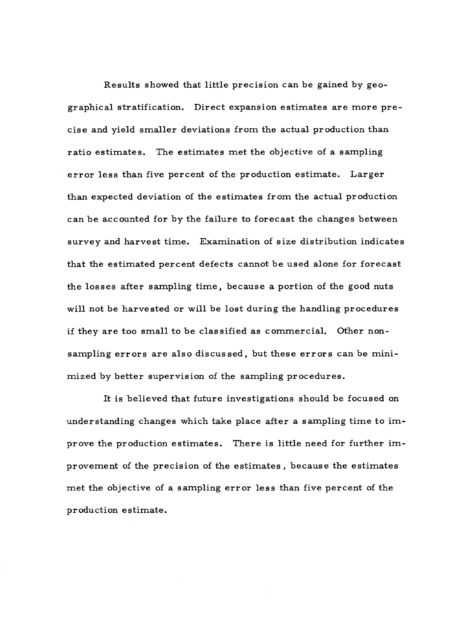Results showed that little precision can be gained by geographical stratification. Direct expansion estimates are more precise and yield smaller deviations from the actual production than ratio estimates. The estimates met the objective of a sampling error less than five percent of the production estimate. Larger than expected deviation of the estimates from the actual production can be accounted for by the failure to forecast the changes between survey and harvest time. Examination of size distribution indicates that the estimated percent defects cannot be used alone for forecast the losses after sampling time, because a portion of the good nuts will not be harvested or will be lost during the handling procedures if they are too small to be classified as commercial. Other nonsampling errors are also discussed, but these errors can be minimized by better supervision of the sampling procedures.

It is believed that future investigations should be focused on understanding changes which take place after a sampling time to improve the production estimates. There is little need for further improvement of the precision of the estimates, because the estimates met the objective of a sampling error less than five percent of the production estimate.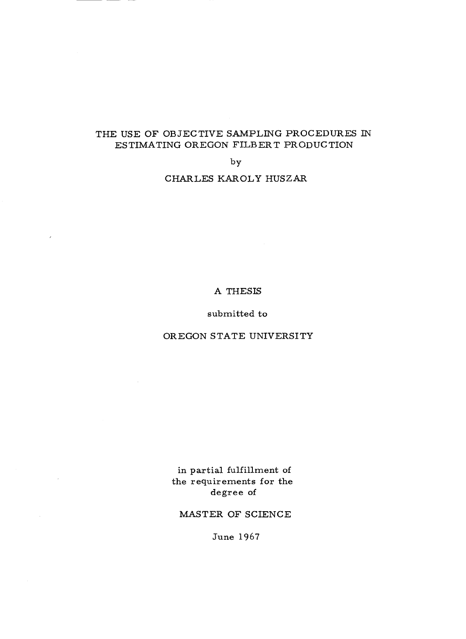#### THE USE OF OBJECTIVE SAMPLING PROCEDURES IN ESTIMATING OREGON FILBERT PRODUCTION

by

#### CHARLES KAROLY HUSZAR

#### A THESIS

#### submitted to

#### OREGON STATE UNIVERSITY

in partial fulfillment of the requirements for the degree of

MASTER OF SCIENCE

June 1967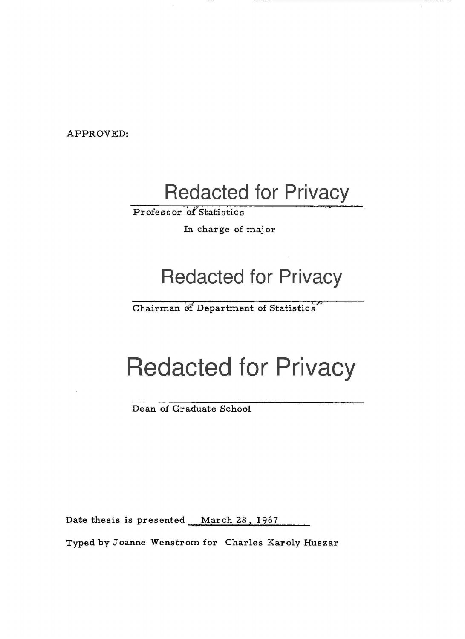APPROVED:

# Redacted for Privacy

Professor of Statistics

In charge of major

## Redacted for Privacy

Chairman óf Department of Statistics

# Redacted for Privacy

Dean of Graduate School

Date thesis is presented March 28, 1967

Typed by Joanne Wenstrom for Charles Karoly Huszar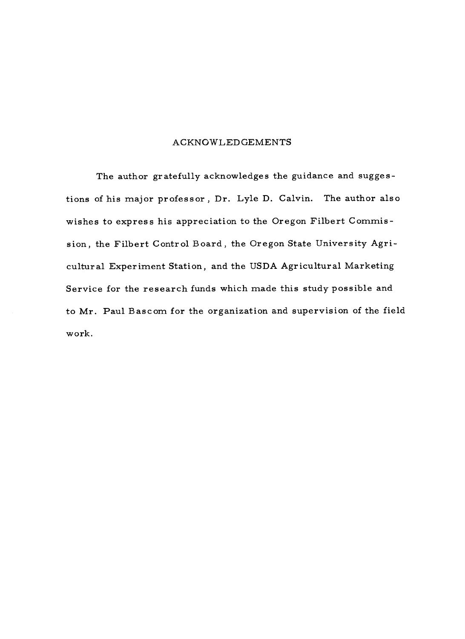#### ACKNOWLEDGEMENTS

The author gratefully acknowledges the guidance and suggestions of his major professor , Dr. Lyle D. Calvin. The author also wishes to express his appreciation to the Oregon Filbert Commission, the Filbert Control Board, the Oregon State University Agricultural Experiment Station, and the USDA Agricultural Marketing Service for the research funds which made this study possible and to Mr. Paul Bascom for the organization and supervision of the field work.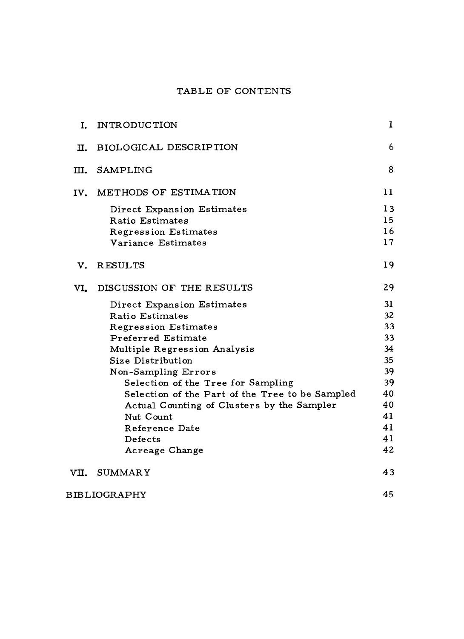### TABLE OF CONTENTS

| I.   | INTRODUCTION                                    | 1  |
|------|-------------------------------------------------|----|
| II.  | <b>BIOLOGICAL DESCRIPTION</b>                   | 6  |
| Ш.   | SAMPLING                                        | 8  |
| IV.  | METHODS OF ESTIMATION                           | 11 |
|      | Direct Expansion Estimates                      | 13 |
|      | Ratio Estimates                                 | 15 |
|      | <b>Regression Estimates</b>                     | 16 |
|      | Variance Estimates                              | 17 |
| v.   | RESULTS                                         | 19 |
| VI.  | DISCUSSION OF THE RESULTS                       | 29 |
|      | Direct Expansion Estimates                      | 31 |
|      | Ratio Estimates                                 | 32 |
|      | <b>Regression Estimates</b>                     | 33 |
|      | Preferred Estimate                              | 33 |
|      | Multiple Regression Analysis                    | 34 |
|      | Size Distribution                               | 35 |
|      | Non-Sampling Errors                             | 39 |
|      | Selection of the Tree for Sampling              | 39 |
|      | Selection of the Part of the Tree to be Sampled | 40 |
|      | Actual Counting of Clusters by the Sampler      | 40 |
|      | Nut Count                                       | 41 |
|      | Reference Date                                  | 41 |
|      | Defects                                         | 41 |
|      | Acreage Change                                  | 42 |
| VII. | <b>SUMMARY</b>                                  | 43 |
|      | <b>BIBLIOGRAPHY</b>                             | 45 |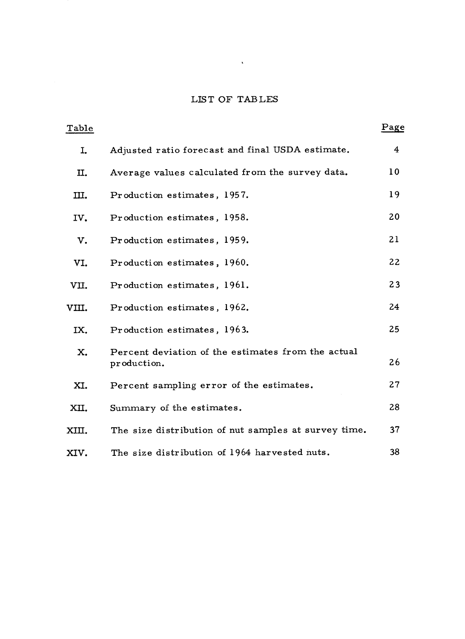### LIST OF TABLES

 $\mathcal{L}(\mathcal{L})$  . As in the  $\mathcal{L}(\mathcal{L})$ 

| Table |                                                                   | Page |  |
|-------|-------------------------------------------------------------------|------|--|
| I.    | Adjusted ratio forecast and final USDA estimate.                  | 4    |  |
| П.    | Average values calculated from the survey data.                   | 10   |  |
| III.  | Production estimates, 1957.                                       | 19   |  |
| IV.   | Production estimates, 1958.                                       | 20   |  |
| v.    | Production estimates, 1959.                                       | 21   |  |
| VI.   | Production estimates, 1960.                                       | 22   |  |
| VII.  | Production estimates, 1961.                                       | 23   |  |
| VIII. | Production estimates, 1962.                                       | 24   |  |
| IX.   | Production estimates, 1963.                                       | 25   |  |
| X.    | Percent deviation of the estimates from the actual<br>production. | 26   |  |
| XI.   | Percent sampling error of the estimates.                          | 27   |  |
| XII.  | Summary of the estimates.                                         | 28   |  |
| XIII. | The size distribution of nut samples at survey time.              | 37   |  |
| XIV.  | The size distribution of 1964 harvested nuts.                     | 38   |  |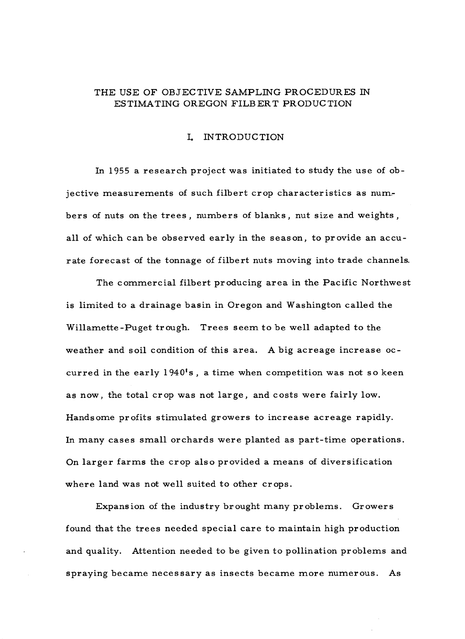#### THE USE OF OBJECTIVE SAMPLING PROCEDURES IN ESTIMATING OREGON FILBERT PRODUCTION

#### I. INTRODUCTION

In 1955 a research project was initiated to study the use of objective measurements of such filbert crop characteristics as numbers of nuts on the trees , numbers of blanks , nut size and weights , all of which can be observed early in the season, to provide an accurate forecast of the tonnage of filbert nuts moving into trade channels.

The commercial filbert producing area in the Pacific Northwest is limited to a drainage basin in Oregon and Washington called the Willamette -Puget trough. Trees seem to be well adapted to the weather and soil condition of this area. A big acreage increase occurred in the early  $1940^{\circ}$ s, a time when competition was not so keen as now, the total crop was not large, and costs were fairly low. Handsome profits stimulated growers to increase acreage rapidly. In many cases small orchards were planted as part-time operations. On larger farms the crop also provided a means of diversification where land was not well suited to other crops.

Expansion of the industry brought many problems. Growers found that the trees needed special care to maintain high production and quality. Attention needed to be given to pollination problems and spraying became necessary as insects became more numerous. As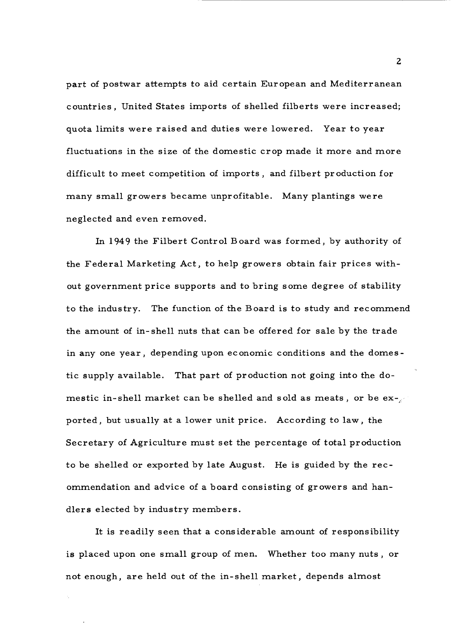part of postwar attempts to aid certain European and Mediterranean countries, United States imports of shelled filberts were increased; quota limits were raised and duties were lowered. Year to year fluctuations in the size of the domestic crop made it more and more difficult to meet competition of imports, and filbert production for many small growers became unprofitable. Many plantings were neglected and even removed.

In 1949 the Filbert Control Board was formed, by authority of the Federal Marketing Act, to help growers obtain fair prices without government price supports and to bring some degree of stability to the industry. The function of the Board is to study and recommend the amount of in -shell nuts that can be offered for sale by the trade in any one year, depending upon economic conditions and the domestic supply available. That part of production not going into the domestic in-shell market can be shelled and sold as meats, or be  $ex-z$ ported, but usually at a lower unit price. According to law, the Secretary of Agriculture must set the percentage of total production to be shelled or exported by late August. He is guided by the recommendation and advice of a board consisting of growers and handlers elected by industry members.

It is readily seen that a considerable amount of responsibility is placed upon one small group of men. Whether too many nuts, or not enough, are held out of the in -shell market, depends almost

z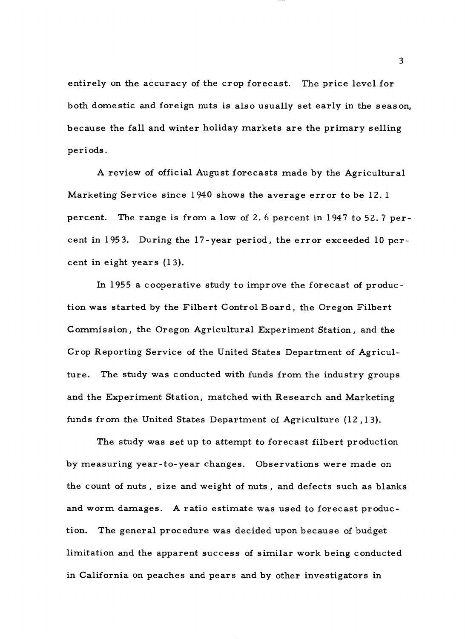entirely on the accuracy of the crop forecast. The price level for both domestic and foreign nuts is also usually set early in the season, because the fall and winter holiday markets are the primary selling periods.

A review of official August forecasts made by the Agricultural Marketing Service since 1940 shows the average error to be 12. <sup>1</sup> percent. The range is from a low of 2. 6 percent in 1947 to 52.7 percent in 1953. During the 17 -year period, the error exceeded 10 percent in eight years (13).

In 1955 a cooperative study to improve the forecast of production was started by the Filbert Control Board, the Oregon Filbert Commission, the Oregon Agricultural Experiment Station, and the Crop Reporting Service of the United States Department of Agriculture. The study was conducted with funds from the industry groups and the Experiment Station, matched with Research and Marketing funds from the United States Department of Agriculture (12 ,13).

The study was set up to attempt to forecast filbert production by measuring year -to -year changes. Observations were made on the count of nuts , size and weight of nuts , and defects such as blanks and worm damages. A ratio estimate was used to forecast production. The general procedure was decided upon because of budget limitation and the apparent success of similar work being conducted in California on peaches and pears and by other investigators in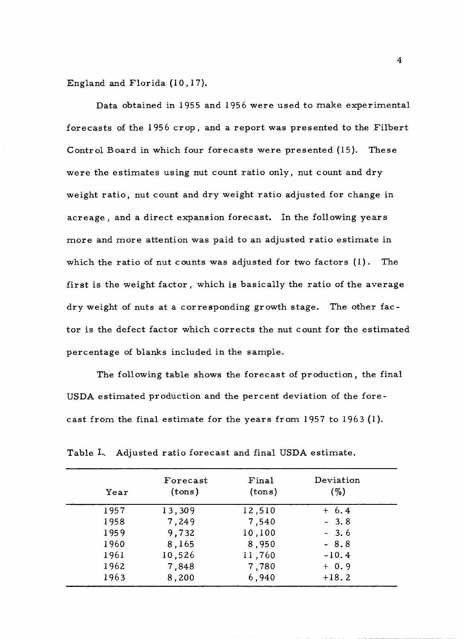England and Florida (10, 17).

Data obtained in 1955 and 1956 were used to make experimental forecasts of the 1956 crop, and a report was presented to the Filbert Control Board in which four forecasts were presented (15). These were the estimates using nut count ratio only, nut count and dry weight ratio, nut count and dry weight ratio adjusted for change in acreage , and a direct expansion forecast. In the following years more and more attention was paid to an adjusted ratio estimate in which the ratio of nut counts was adjusted for two factors (1). The first is the weight factor , which is basically the ratio of the average dry weight of nuts at a corresponding growth stage. The other factor is the defect factor which corrects the nut count for the estimated percentage of blanks included in the sample.

The following table shows the forecast of production, the final USDA estimated production and the percent deviation of the forecast from the final estimate for the years from 1957 to 1963 (1).

| Year | Forecast<br>(tons) | Final<br>(tons) | Deviation<br>$( \% )$ |
|------|--------------------|-----------------|-----------------------|
| 1957 | 13,309             | 12,510          | $+ 6.4$               |
| 1958 | 7,249              | 7,540           | $-3.8$                |
| 1959 | 9,732              | 10,100          | $-3.6$                |
| 1960 | 8,165              | 8,950           | $-8.8$                |
| 1961 | 10,526             | 11,760          | $-10.4$               |
| 1962 | 7,848              | 7,780           | $+ 0.9$               |
| 1963 | 8,200              | 6,940           | $+18.2$               |
|      |                    |                 |                       |

|  | Table I. Adjusted ratio forecast and final USDA estimate. |  |  |  |  |  |  |  |
|--|-----------------------------------------------------------|--|--|--|--|--|--|--|
|--|-----------------------------------------------------------|--|--|--|--|--|--|--|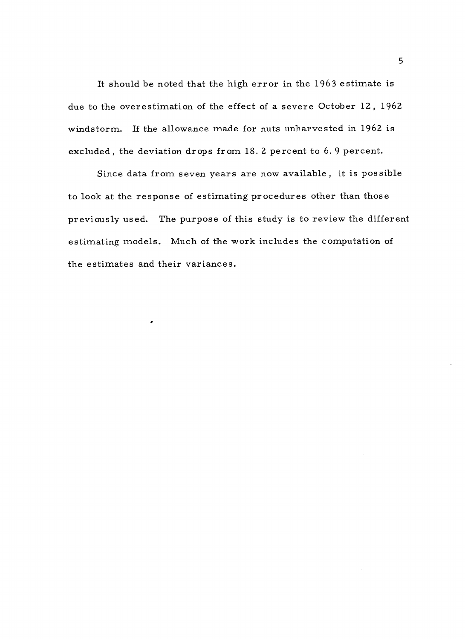It should be noted that the high error in the 1963 estimate is due to the overestimation of the effect of a severe October 12, 1962 windstorm. If the allowance made for nuts unharvested in 1962 is excluded, the deviation drops from 18.2 percent to 6. 9 percent.

Since data from seven years are now available, it is possible to look at the response of estimating procedures other than those previously used. The purpose of this study is to review the different estimating models. Much of the work includes the computation of the estimates and their variances.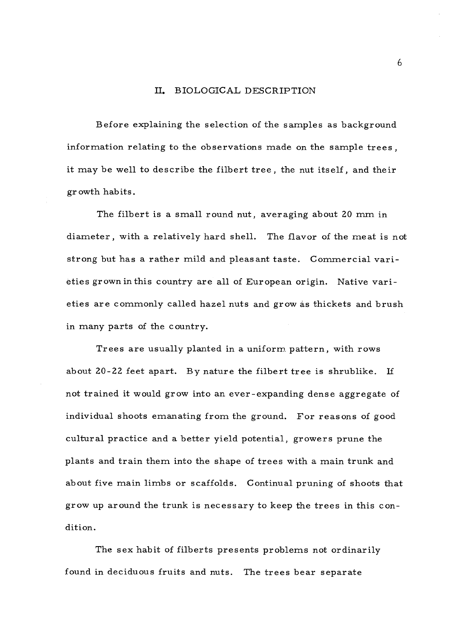#### II. BIOLOGICAL DESCRIPTION

Before explaining the selection of the samples as background information relating to the observations made on the sample trees, it may be well to describe the filbert tree, the nut itself, and their growth habits.

The filbert is a small round nut, averaging about 20 mm in diameter, with a relatively hard shell. The flavor of the meat is not strong but has a rather mild and pleasant taste. Commercial varieties grown in this country are all of European origin. Native varieties are commonly called hazel nuts and grow as thickets and brush in many parts of the country.

Trees are usually planted in a uniform pattern, with rows about 20 -22 feet apart. By nature the filbert tree is shrublike. If not trained it would grow into an ever - expanding dense aggregate of individual shoots emanating from the ground. For reasons of good cultural practice and a better yield potential, growers prune the plants and train them into the shape of trees with a main trunk and about five main limbs or scaffolds. Continual pruning of shoots that grow up around the trunk is necessary to keep the trees in this condition.

The sex habit of filberts presents problems not ordinarily found in deciduous fruits and nuts. The trees bear separate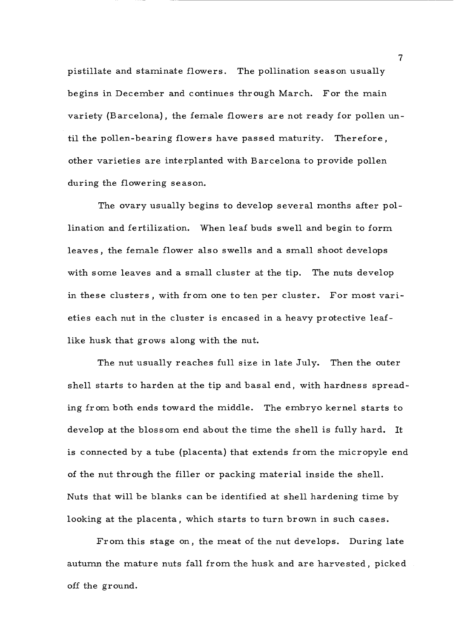pistillate and staminate flowers. The pollination season usually begins in December and continues through March. For the main variety (Barcelona), the female flowers are not ready for pollen until the pollen- bearing flowers have passed maturity. Therefore, other varieties are interplanted with Barcelona to provide pollen during the flowering season.

The ovary usually begins to develop several months after pollination and fertilization. When leaf buds swell and begin to form leaves, the female flower also swells and a small shoot develops with some leaves and a small cluster at the tip. The nuts develop in these clusters , with from one to ten per cluster. For most varieties each nut in the cluster is encased in a heavy protective leaflike husk that grows along with the nut.

The nut usually reaches full size in late July. Then the outer shell starts to harden at the tip and basal end, with hardness spreading from both ends toward the middle. The embryo kernel starts to develop at the blossom end about the time the shell is fully hard. It is connected by a tube (placenta) that extends from the micropyle end of the nut through the filler or packing material inside the shell. Nuts that will be blanks can be identified at shell hardening time by looking at the placenta, which starts to turn brown in such cases.

From this stage on, the meat of the nut develops. During late autumn the mature nuts fall from the husk and are harvested, picked off the ground.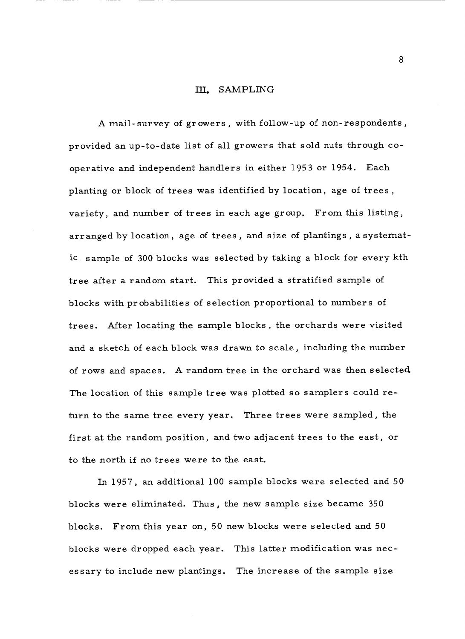#### III. SAMPLING

A mail-survey of growers, with follow-up of non-respondents, provided an up -to -date list of all growers that sold nuts through cooperative and independent handlers in either 1953 or 1954. Each planting or block of trees was identified by location, age of trees , variety, and number of trees in each age group. From this listing, arranged by location, age of trees, and size of plantings , a systematic sample of 300 blocks was selected by taking a block for every kth tree after a random start. This provided a stratified sample of blocks with probabilities of selection proportional to numbers of trees. After locating the sample blocks , the orchards were visited and a sketch of each block was drawn to scale, including the number of rows and spaces. A random tree in the orchard was then selected. The location of this sample tree was plotted so samplers could return to the same tree every year. Three trees were sampled, the first at the random position, and two adjacent trees to the east, or to the north if no trees were to the east.

In 1957, an additional 100 sample blocks were selected and 50 blocks were eliminated. Thus, the new sample size became 350 blocks. From this year on, 50 new blocks were selected and 50 blocks were dropped each year. This latter modification was necessary to include new plantings. The increase of the sample size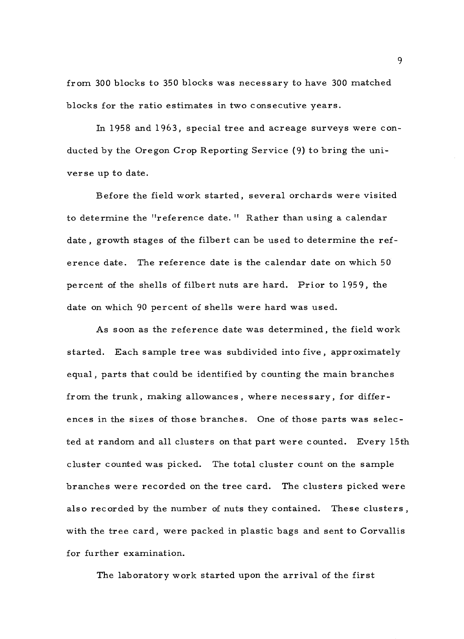from 300 blocks to 350 blocks was necessary to have 300 matched blocks for the ratio estimates in two consecutive years.

In 1958 and 1963, special tree and acreage surveys were conducted by the Oregon Crop Reporting Service (9) to bring the universe up to date.

Before the field work started, several orchards were visited to determine the "reference date. " Rather than using a calendar date , growth stages of the filbert can be used to determine the reference date. The reference date is the calendar date on which 50 percent of the shells of filbert nuts are hard. Prior to 1959, the date on which 90 percent of shells were hard was used.

As soon as the reference date was determined, the field work started. Each sample tree was subdivided into five, approximately equal, parts that could be identified by counting the main branches from the trunk, making allowances, where necessary, for differences in the sizes of those branches. One of those parts was selected at random and all clusters on that part were counted. Every 15th cluster counted was picked. The total cluster count on the sample branches were recorded on the tree card. The clusters picked were also recorded by the number of nuts they contained. These clusters, with the tree card, were packed in plastic bags and sent to Corvallis for further examination.

The laboratory work started upon the arrival of the first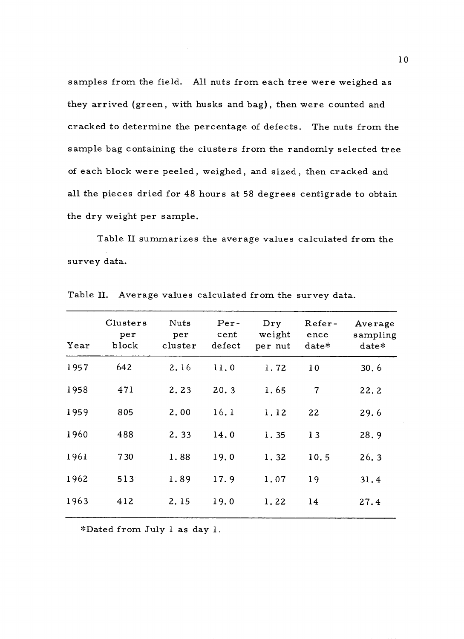samples from the field. All nuts from each tree were weighed as they arrived (green, with husks and bag), then were counted and cracked to determine the percentage of defects. The nuts from the sample bag containing the clusters from the randomly selected tree of each block were peeled, weighed, and sized, then cracked and all the pieces dried for 48 hours at 58 degrees centigrade to obtain the dry weight per sample.

Table II summarizes the average values calculated from the survey data.

| Year | block       | per<br>cluster | cent<br>defect | Dry<br>weight<br>per nut | Refer-<br>ence<br>date* | Average<br>sampling<br>date* |
|------|-------------|----------------|----------------|--------------------------|-------------------------|------------------------------|
| 1957 | 642         | 2.16           | 11.0           | 1.72                     | 10                      | 30.6                         |
| 1958 | 471         | 2.23           | 20.3           | 1.65                     | $\overline{7}$          | 22.2                         |
| 1959 | 805         | 2,00           | 16.1           | 1.12                     | 22                      | 29.6                         |
| 1960 | 488         | 2.33           | 14.0           | 1.35                     | 13                      | 28.9                         |
| 1961 | 730         | 1.88           | 19.0           | 1.32                     | 10.5                    | 26.3                         |
| 1962 | $513^\circ$ | 1.89           | 17.9           | 1.07                     | 19                      | 31.4                         |
| 1963 | 412         | 2.15           | 19.0           | 1.22                     | 14                      | 27.4                         |

Table II. Average values calculated from the survey data.

\*Dated from July 1 as day 1.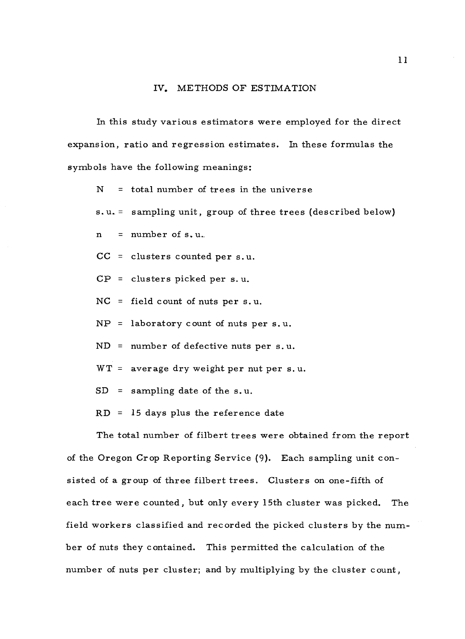#### IV. METHODS OF ESTIMATION

In this study various estimators were employed for the direct expansion, ratio and regression estimates. In these formulas the symbols have the following meanings:

 $N =$  total number of trees in the universe

s.u. = sampling unit, group of three trees (described below)

 $n = number of s.u.$ 

CC = clusters counted per s.u.

CP = clusters picked per s. u.

NC = field count of nuts per s. u.

 $NP =$  laboratory count of nuts per s.u.

ND = number of defective nuts per s. u.

 $WT = average dry weight per nut per s.u.$ 

 $SD =$  sampling date of the s.u.

 $RD = 15$  days plus the reference date

The total number of filbert trees were obtained from the report of the Oregon Crop Reporting Service (9). Each sampling unit consisted of a group of three filbert trees. Clusters on one -fifth of each tree were counted, but only every 15th cluster was picked. The field workers classified and recorded the picked clusters by the number of nuts they contained. This permitted the calculation of the number of nuts per cluster; and by multiplying by the cluster count,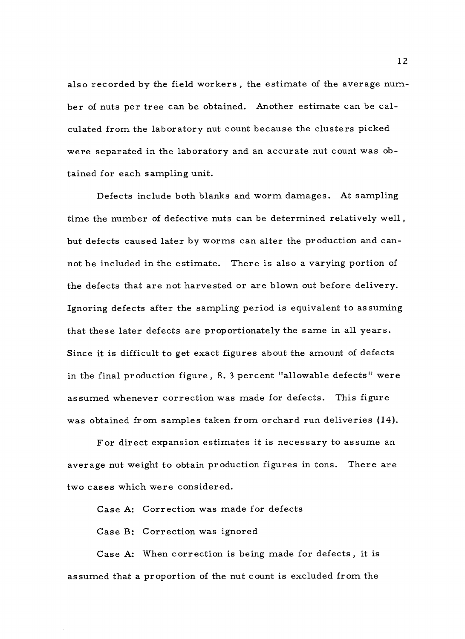also recorded by the field workers , the estimate of the average number of nuts per tree can be obtained. Another estimate can be calculated from the laboratory nut count because the clusters picked were separated in the laboratory and an accurate nut count was obtained for each sampling unit.

Defects include both blanks and worm damages. At sampling time the number of defective nuts can be determined relatively well, but defects caused later by worms can alter the production and cannot be included in the estimate. There is also a varying portion of the defects that are not harvested or are blown out before delivery. Ignoring defects after the sampling period is equivalent to assuming that these later defects are proportionately the same in all years. Since it is difficult to get exact figures about the amount of defects in the final production figure, 8. 3 percent "allowable defects" were assumed whenever correction was made for defects. This figure was obtained from samples taken from orchard run deliveries (14).

For direct expansion estimates it is necessary to assume an average nut weight to obtain production figures in tons. There are two cases which were considered.

Case A: Correction was made for defects

Case B: Correction was ignored

Case A: When correction is being made for defects, it is assumed that a proportion of the nut count is excluded from the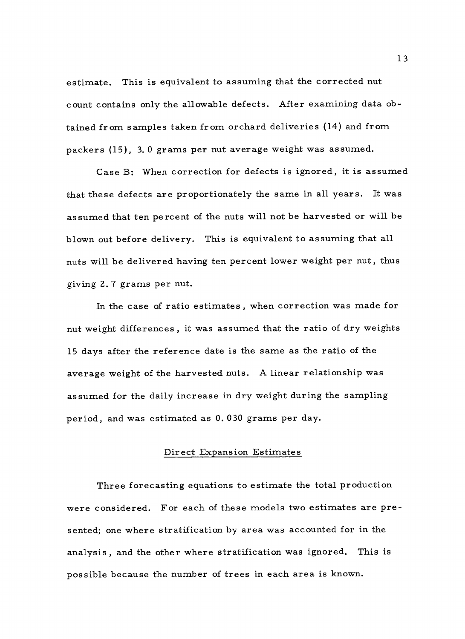estimate. This is equivalent to assuming that the corrected nut count contains only the allowable defects. After examining data obtained from samples taken from orchard deliveries (14) and from packers (15), 3. 0 grams per nut average weight was assumed.

Case B: When correction for defects is ignored, it is assumed that these defects are proportionately the same in all years. It was assumed that ten percent of the nuts will not be harvested or will be blown out before delivery. This is equivalent to assuming that all nuts will be delivered having ten percent lower weight per nut, thus giving 2. 7 grams per nut.

In the case of ratio estimates, when correction was made for nut weight differences, it was assumed that the ratio of dry weights <sup>15</sup>days after the reference date is the same as the ratio of the average weight of the harvested nuts. A linear relationship was assumed for the daily increase in dry weight during the sampling period, and was estimated as 0. 030 grams per day.

#### Direct Expansion Estimates

Three forecasting equations to estimate the total production were considered. For each of these models two estimates are presented; one where stratification by area was accounted for in the analysis, and the other where stratification was ignored. This is possible because the number of trees in each area is known.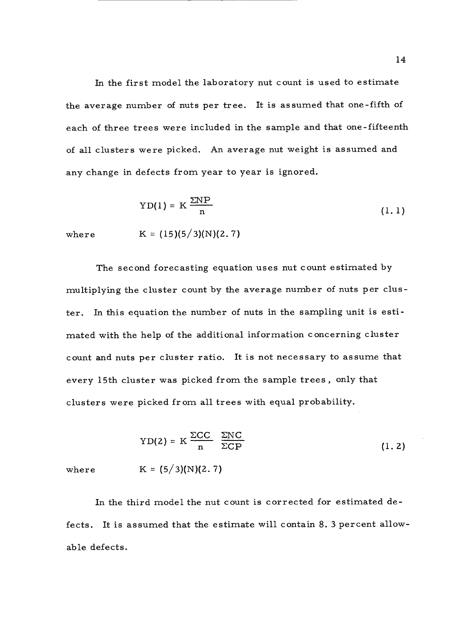In the first model the laboratory nut count is used to estimate the average number of nuts per tree. It is assumed that one -fifth of each of three trees were included in the sample and that one - fifteenth of all clusters were picked. An average nut weight is assumed and any change in defects from year to year is ignored.

$$
YD(1) = K \frac{\Sigma NP}{n}
$$
 (1.1)

where  $K = (15)(5/3)(N)(2.7)$ 

The second forecasting equation uses nut count estimated by multiplying the cluster count by the average number of nuts per cluster. In this equation the number of nuts in the sampling unit is estimated with the help of the additional information concerning cluster count and nuts per cluster ratio. It is not necessary to assume that every 15th cluster was picked from the sample trees, only that clusters were picked from all trees with equal probability.

$$
YD(2) = K \frac{\Sigma CC}{n} \frac{\Sigma NC}{\Sigma CP}
$$
 (1.2)  
where  $K = (5/3)(N)(2.7)$ 

In the third model the nut count is corrected for estimated defects. It is assumed that the estimate will contain 8. 3 percent allowable defects.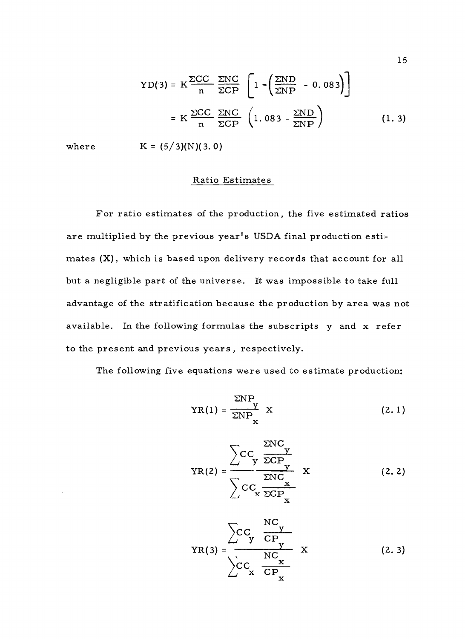$$
YD(3) = K \frac{\Sigma CC}{n} \frac{\Sigma NC}{\Sigma CP} \left[ 1 - \left( \frac{\Sigma ND}{\Sigma NP} - 0.083 \right) \right]
$$
  
=  $K \frac{\Sigma CC}{n} \frac{\Sigma NC}{\Sigma CP} \left( 1.083 - \frac{\Sigma ND}{\Sigma NP} \right)$  (1.3)

where  $K = (5/3)(N)(3.0)$ 

#### Ratio Estimates

For ratio estimates of the production, the five estimated ratios are multiplied by the previous year's USDA final production estimates (X), which is based upon delivery records that account for all but a negligible part of the universe. It was impossible to take full advantage of the stratification because the production by area was not available. In the following formulas the subscripts y and x refer to the present and previous years, respectively.

The following five equations were used to estimate production:

$$
YR(1) = \frac{\Sigma NP}{\Sigma NP_{\mathbf{x}}} X \qquad (2.1)
$$

$$
YR(2) = \frac{\sum CC_{y} \frac{\sum NC_{y}}{\sum CP_{y}}}{\sum CC_{x} \frac{\sum NC_{x}}{\sum CP_{x}}}
$$
 (2.2)

$$
YR(3) = \frac{\sum CC_{y} \frac{NC_{y}}{CP}}{\sum CC_{x} \frac{NC_{x}}{CP_{x}}} \qquad (2.3)
$$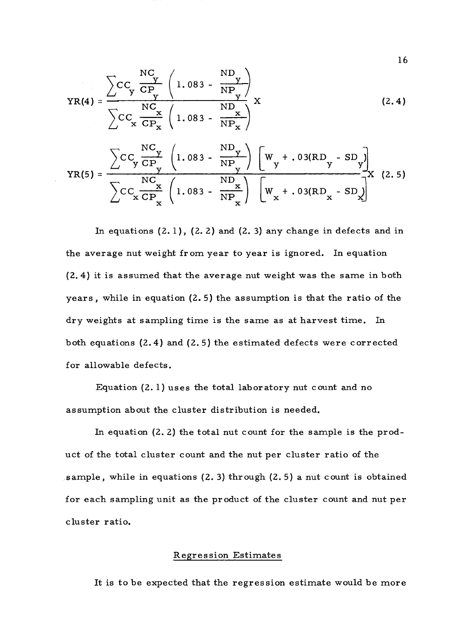$$
YR(4) = \frac{\sum CC_{y} \frac{NC}{CP_{y}} \left(1.083 - \frac{ND_{y}}{NP_{y}}\right)}{\sum CC_{x} \frac{NC_{x}}{CP_{x}} \left(1.083 - \frac{ND_{y}}{NP_{x}}\right)} X
$$
 (2.4)

$$
YR(5) = \frac{\sum CC_y \frac{NC_y}{CP_y} \left(1.083 - \frac{ND_y}{NP_y}\right) \left[W_y + .03(RD_y - SD_y)\right]}{\sum CC_x \frac{NC_x}{CP_x} \left(1.083 - \frac{ND_x}{NP_x}\right) \left[W_x + .03(RD_x - SD_x)\right]} X (2.5)
$$

In equations  $(2.1)$ ,  $(2.2)$  and  $(2.3)$  any change in defects and in the average nut weight from year to year is ignored. In equation (2. 4) it is assumed that the average nut weight was the same in both years, while in equation (2.5) the assumption is that the ratio of the dry weights at sampling time is the same as at harvest time. In both equations (2.4) and (2.5) the estimated defects were corrected for allowable defects.

Equation (2.1) uses the total laboratory nut count and no assumption about the cluster distribution is needed.

In equation (2. 2) the total nut count for the sample is the product of the total cluster count and the nut per cluster ratio of the sample, while in equations (2. 3) through (2. 5) a nut count is obtained for each sampling unit as the product of the cluster count and nut per cluster ratio.

#### Regression Estimates

It is to be expected that the regression estimate would be more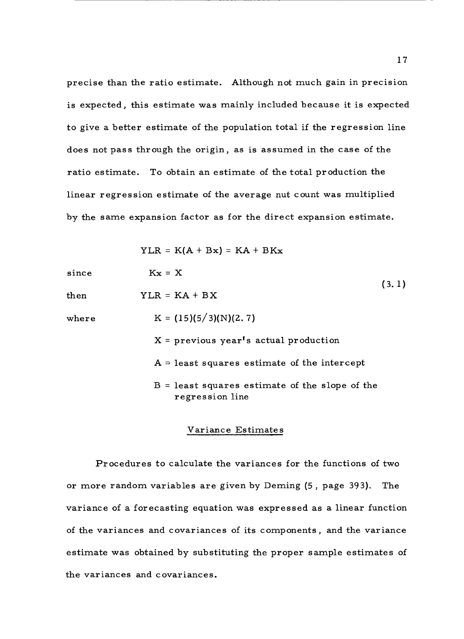precise than the ratio estimate. Although not much gain in precision is expected, this estimate was mainly included because it is expected to give a better estimate of the population total if the regression line does not pass through the origin, as is assumed in the case of the ratio estimate. To obtain an estimate of the total production the linear regression estimate of the average nut count was multiplied by the same expansion factor as for the direct expansion estimate.

YLR = K(A + Bx) = KA + BKx  
\nsince 
$$
Kx = X
$$
 (3.1)  
\n  
\n $YLR = KA + BX$  (3.1)  
\n $K = (15)(5/3)(N)(2.7)$   
\n $X = \text{previous year's actual production}$   
\n $A = \text{least squares estimate of the intercept}$   
\n $B = \text{least squares estimate of the slope of the}$   
\nregression line

#### Variance Estimates

Procedures to calculate the variances for the functions of two or more random variables are given by Deming (5 , page 393). The variance of a forecasting equation was expressed as a linear function of the variances and covariances of its components, and the variance estimate was obtained by substituting the proper sample estimates of the variances and covariances.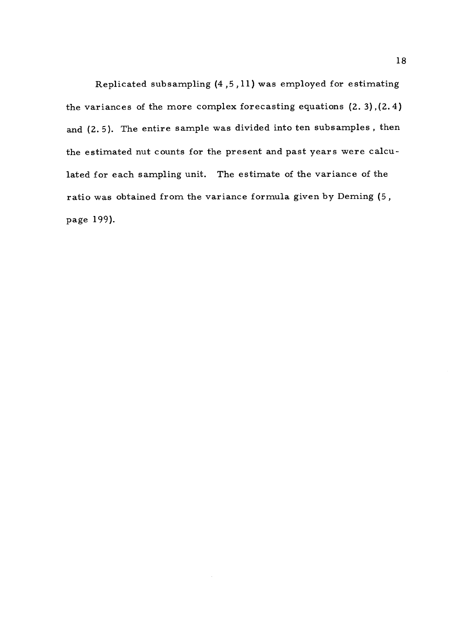Replicated subsampling (4,5,11) was employed for estimating the variances of the more complex forecasting equations (2. 3),(2.4) and (2. 5). The entire sample was divided into ten subsamples , then the estimated nut counts for the present and past years were calculated for each sampling unit. The estimate of the variance of the ratio was obtained from the variance formula given by Deming (5, page 199).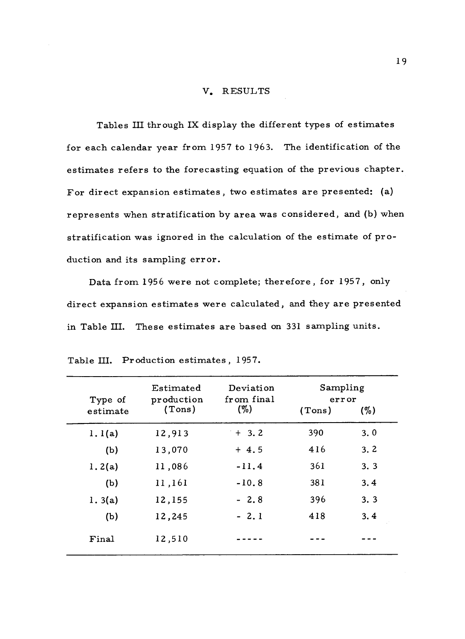#### V. RESULTS

Tables III through IX display the different types of estimates for each calendar year from 1957 to 1963. The identification of the estimates refers to the forecasting equation of the previous chapter. For direct expansion estimates, two estimates are presented: (a) represents when stratification by area was considered, and (b) when stratification was ignored in the calculation of the estimate of production and its sampling error.

Data from 1956 were not complete; therefore, for 1957, only direct expansion estimates were calculated, and they are presented in Table III. These estimates are based on 331 sampling units.

| Type of  | Estimated<br>production | Deviation<br>from final | Sampling<br>error |     |
|----------|-------------------------|-------------------------|-------------------|-----|
| estimate | (Tons)                  | $($ %)                  | (Tons)            | (%) |
| 1.1(a)   | 12,913                  | $+ 3.2$                 | 390               | 3.0 |
| (b)      | 13,070                  | $+4.5$                  | 416               | 3.2 |
| 1.2(a)   | 11,086                  | $-11.4$                 | 361               | 3.3 |
| (b)      | 11,161                  | $-10.8$                 | 381               | 3.4 |
| 1.3(a)   | 12,155                  | $-2.8$                  | 396               | 3.3 |
| (b)      | 12,245                  | $-2,1$                  | 418               | 3.4 |
| Final    | 12,510                  |                         |                   |     |
|          |                         |                         |                   |     |

| Table III. Production estimates, 1957. |  |  |  |
|----------------------------------------|--|--|--|
|----------------------------------------|--|--|--|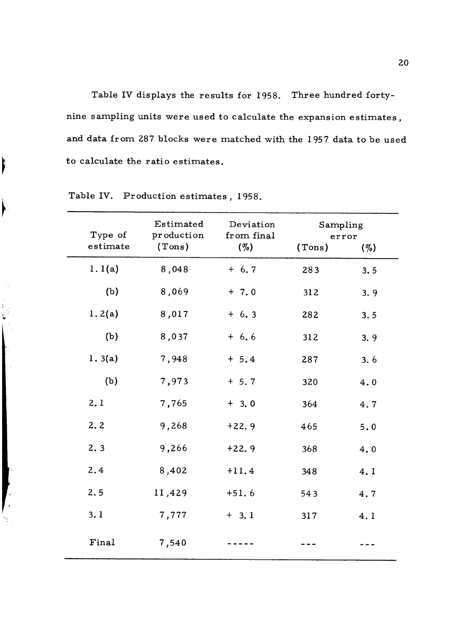Table IV displays the results for 1958. Three hundred fortynine sampling units were used to calculate the expansion estimates, and data from 287 blocks were matched with the 1957 data to be used to calculate the ratio estimates.

| Type of  | Estimated<br>production | Deviation<br>from final | Sampling | error   |
|----------|-------------------------|-------------------------|----------|---------|
| estimate | (Tons)                  | $( \% )$                | (Tons)   | $(\% )$ |
| 1.1(a)   | 8,048                   | $+ 6.7$                 | 283      | 3.5     |
| (b)      | 8,069                   | $+ 7.0$                 | 312      | 3.9     |
| 1.2(a)   | 8,017                   | $+6.3$                  | 282      | 3.5     |
| (b)      | 8,037                   | $+ 6.6$                 | 312      | 3.9     |
| 1.3(a)   | 7,948                   | $+ 5.4$                 | 287      | 3.6     |
| (b)      | 7,973                   | $+ 5.7$                 | 320      | 4.0     |
| 2.1      | 7,765                   | $+3.0$                  | 364      | 4.7     |
| 2, 2     | 9,268                   | $+22.9$                 | 465      | 5.0     |
| 2.3      | 9,266                   | $+22.9$                 | 368      | 4.0     |
| 2.4      | 8,402                   | $+11.4$                 | 348      | 4.1     |
| 2.5      | 11,429                  | $+51.6$                 | 543      | 4.7     |
| 3.1      | 7,777                   | $+3.1$                  | 317      | 4.1     |
| Final    | 7,540                   |                         |          |         |

Table IV. Production estimates , 1958.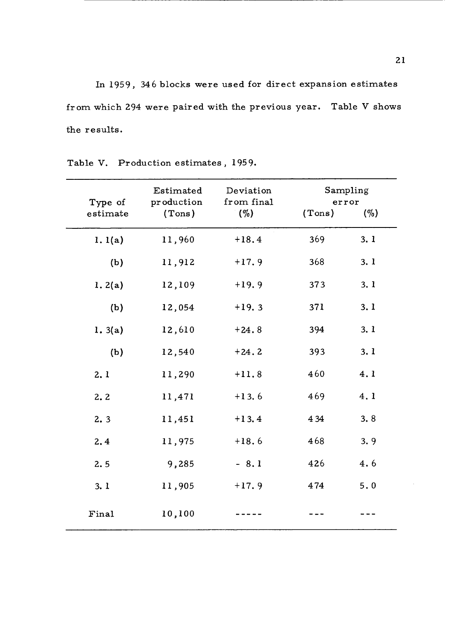In 1959, 346 blocks were used for direct expansion estimates from which 294 were paired with the previous year. Table V shows the results.

| Type of  | Estimated<br>production | Deviation<br>from final | error  | Sampling |
|----------|-------------------------|-------------------------|--------|----------|
| estimate | (Tons)                  | $( \% )$                | (Tons) | (%)      |
| 1.1(a)   | 11,960                  | $+18.4$                 | 369    | 3.1      |
| (b)      | 11,912                  | $+17.9$                 | 368    | 3.1      |
| 1.2(a)   | 12,109                  | $+19.9$                 | 373    | 3.1      |
| (b)      | 12,054                  | $+19.3$                 | 371    | 3.1      |
| 1.3(a)   | 12,610                  | $+24.8$                 | 394    | 3.1      |
| (b)      | 12,540                  | $+24.2$                 | 393    | 3.1      |
| 2.1      | 11,290                  | $+11.8$                 | 460    | 4.1      |
| 2.2      | 11,471                  | $+13.6$                 | 469    | 4.1      |
| 2.3      | 11,451                  | $+13.4$                 | 4 3 4  | 3.8      |
| 2, 4     | 11,975                  | $+18.6$                 | 468    | 3.9      |
| 2.5      | 9,285                   | $-8.1$                  | 426    | 4.6      |
| 3.1      | 11,905                  | $+17.9$                 | 474    | 5.0      |
| Final    | 10,100                  |                         |        |          |

Table V. Production estimates, 1959.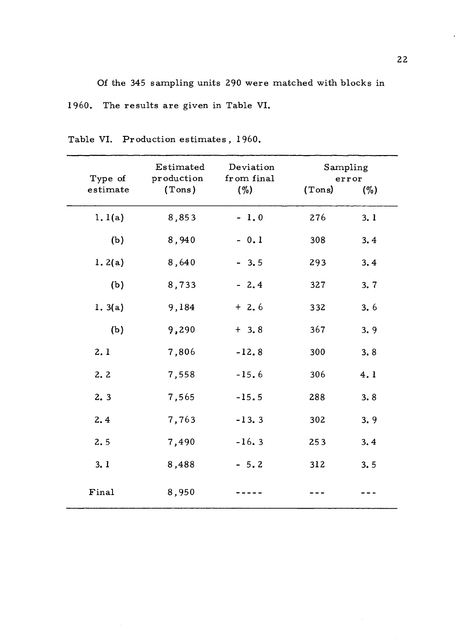Of the 345 sampling units 290 were matched with blocks in 1960. The results are given in Table VI.

Table VI. Production estimates, 1960.

| Type of  | Estimated<br>production | Deviation<br>from final | Sampling | error  |
|----------|-------------------------|-------------------------|----------|--------|
| estimate | (Tons)                  | $( \% )$                | (Tons)   | $(\%)$ |
| 1.1(a)   | 8,853                   | $-1.0$                  | 276      | 3.1    |
| (b)      | 8,940                   | $-0.1$                  | 308      | 3.4    |
| 1.2(a)   | 8,640                   | $-3.5$                  | 293      | 3.4    |
| (b)      | 8,733                   | $-2.4$                  | 327      | 3.7    |
| 1.3(a)   | 9,184                   | $+2.6$                  | 332      | 3.6    |
| (b)      | 9,290                   | $+3.8$                  | 367      | 3.9    |
| 2.1      | 7,806                   | $-12.8$                 | 300      | 3.8    |
| 2.2      | 7,558                   | $-15.6$                 | 306      | 4.1    |
| 2.3      | 7,565                   | $-15.5$                 | 288      | 3.8    |
| 2.4      | 7,763                   | $-13.3$                 | 302      | 3.9    |
| 2.5      | 7,490                   | $-16.3$                 | 253      | 3.4    |
| 3.1      | 8,488                   | $-5.2$                  | 312      | 3.5    |
| Final    | 8,950                   |                         |          |        |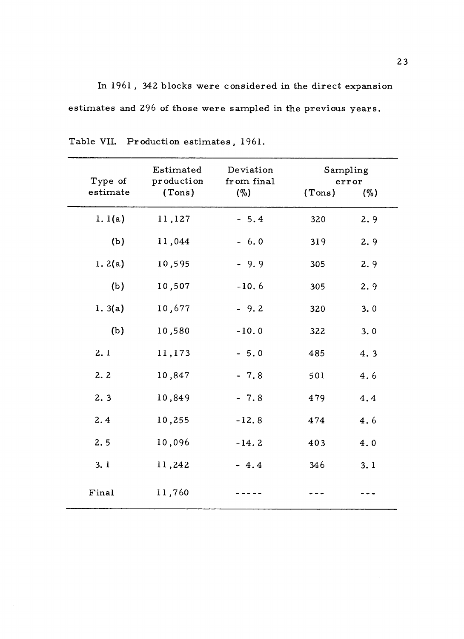In 1961 , 342 blocks were considered in the direct expansion estimates and 296 of those were sampled in the previous years.

| Type of<br>estimate | Estimated<br>production<br>(Tons) | Deviation<br>from final<br>(%) | Sampling<br>(Tons) | error<br>$( \% )$ |
|---------------------|-----------------------------------|--------------------------------|--------------------|-------------------|
| 1. $1(a)$           | 11,127                            | $-5.4$                         | 320                | 2.9               |
| (b)                 | 11,044                            | $-6.0$                         | 319                | 2.9               |
| 1.2(a)              | 10,595                            | $-9.9$                         | 305                | 2.9               |
| (b)                 | 10,507                            | $-10.6$                        | 305                | 2.9               |
| 1.3(a)              | 10,677                            | $-9.2$                         | 320                | 3.0               |
| (b)                 | 10,580                            | $-10.0$                        | 322                | 3.0               |
| 2.1                 | 11,173                            | $-5.0$                         | 485                | 4.3               |
| 2.2                 | 10,847                            | $-7.8$                         | 501                | 4.6               |
| 2.3                 | 10,849                            | $-7.8$                         | 479                | 4.4               |
| 2.4                 | 10,255                            | $-12.8$                        | 474                | 4.6               |
| 2.5                 | 10,096                            | $-14.2$                        | 403                | 4.0               |
| 3.1                 | 11,242                            | $-4.4$                         | 346                | 3.1               |
| Final               | 11,760                            |                                |                    |                   |

Table VII. Production estimates, 1961.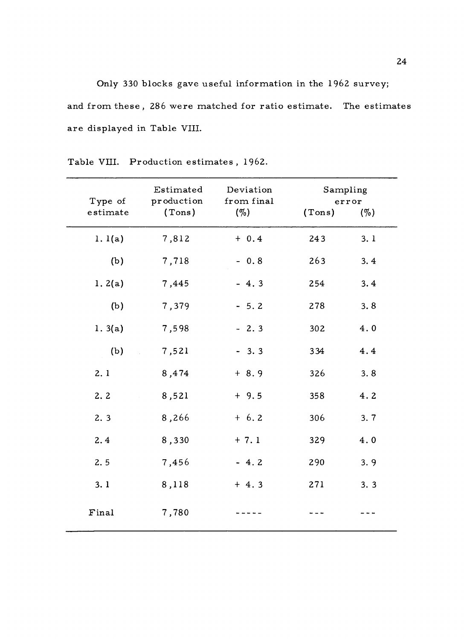Only 330 blocks gave useful information in the 1962 survey; and from these, 286 were matched for ratio estimate. The estimates are displayed in Table VIII.

| Type of<br>estimate | Estimated<br>production<br>(Tons) | Deviation<br>from final<br>$( \% )$ | Sampling<br>(Tons) | error<br>(%) |
|---------------------|-----------------------------------|-------------------------------------|--------------------|--------------|
| 1.1(a)              | 7,812                             | $+ 0.4$                             | 243                | 3.1          |
| (b)                 | 7,718                             | $-0.8$                              | 263                | 3.4          |
| 1.2(a)              | 7,445                             | $-4.3$                              | 254                | 3.4          |
| (b)                 | 7,379                             | $-5.2$                              | 278                | 3.8          |
| 1.3(a)              | 7,598                             | $-2.3$                              | 302                | 4.0          |
| (b)                 | 7,521                             | $-3.3$                              | 334                | 4.4          |
| 2.1                 | 8,474                             | $+ 8.9$                             | 326                | 3.8          |
| 2.2                 | 8,521                             | $+9.5$                              | 358                | 4.2          |
| 2.3                 | 8,266                             | $+ 6.2$                             | 306                | 3.7          |
| 2.4                 | 8,330                             | $+ 7.1$                             | 329                | 4.0          |
| 2.5                 | 7,456                             | $-4.2$                              | 290                | 3.9          |
| 3.1                 | 8,118                             | $+4.3$                              | 271                | 3.3          |
| Final               | 7,780                             |                                     |                    |              |

Table VIII. Production estimates , 1962.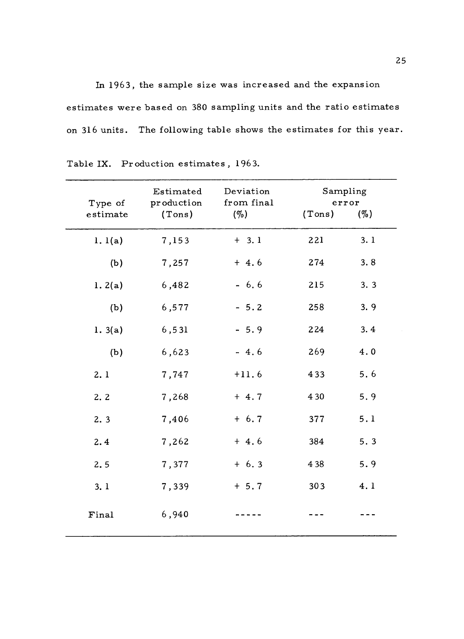In 1963, the sample size was increased and the expansion estimates were based on 380 sampling units and the ratio estimates on 316 units. The following table shows the estimates for this year.

| Type of<br>estimate | Estimated<br>production<br>(Tons) | Deviation<br>from final<br>(%) | Sampling<br>(Tons) | error<br>(%) |
|---------------------|-----------------------------------|--------------------------------|--------------------|--------------|
|                     |                                   |                                |                    |              |
| 1.1(a)              | 7,153                             | $+ 3.1$                        | 221                | 3.1          |
| (b)                 | 7,257                             | $+4.6$                         | 274                | 3.8          |
| 1.2(a)              | 6,482                             | $-6.6$                         | 215                | 3.3          |
| (b)                 | 6,577                             | $-5.2$                         | 258                | 3.9          |
| 1.3(a)              | 6,531                             | $-5.9$                         | 224                | 3.4          |
| (b)                 | 6,623                             | $-4.6$                         | 269                | 4.0          |
| 2.1                 | 7,747                             | $+11.6$                        | 433                | 5.6          |
| 2.2                 | 7,268                             | $+4.7$                         | 4 3 0              | 5.9          |
| 2.3                 | 7,406                             | $+ 6.7$                        | 377                | 5.1          |
| 2.4                 | 7,262                             | $+4.6$                         | 384                | 5.3          |
| 2.5                 | 7,377                             | $+ 6.3$                        | 4 3 8              | 5.9          |
| 3.1                 | 7,339                             | $+ 5.7$                        | 303                | 4.1          |
| Final               | 6,940                             |                                |                    |              |

Table IX. Production estimates , 1963.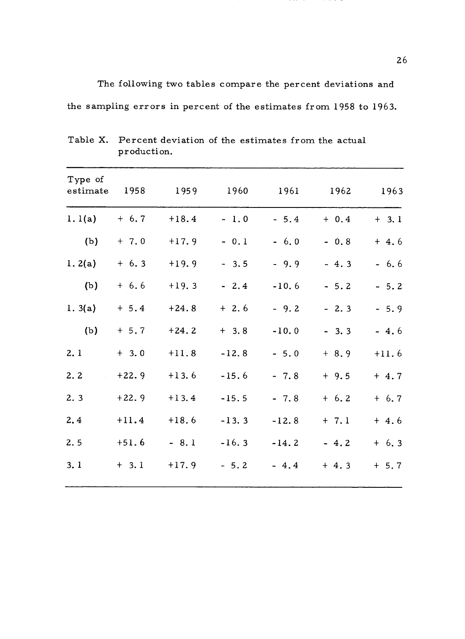The following two tables compare the percent deviations and the sampling errors in percent of the estimates from 1958 to 1963.

| Type of<br>estimate | 1958    | 1959    | 1960    | 1961    | 1962    | 1963    |
|---------------------|---------|---------|---------|---------|---------|---------|
| 1.1(a)              | $+ 6.7$ | $+18.4$ | $-1.0$  | $-5.4$  | $+ 0.4$ | $+ 3.1$ |
| (b)                 | $+ 7.0$ | $+17.9$ | $-0.1$  | $-6.0$  | $-0.8$  | $+4.6$  |
| 1.2(a)              | $+6.3$  | $+19.9$ | $-3.5$  | $-9.9$  | $-4.3$  | $-6.6$  |
| (b)                 | $+ 6.6$ | $+19.3$ | $-2.4$  | $-10.6$ | $-5.2$  | $-5.2$  |
| 1.3(a)              | $+ 5.4$ | $+24.8$ | $+2.6$  | $-9.2$  | $-2.3$  | $-5.9$  |
| (b)                 | $+ 5.7$ | $+24.2$ | $+3.8$  | $-10.0$ | $-3.3$  | $-4.6$  |
| 2.1                 | $+ 3.0$ | $+11.8$ | $-12.8$ | $-5.0$  | $+ 8.9$ | $+11.6$ |
| 2.2                 | $+22.9$ | $+13.6$ | $-15.6$ | $-7.8$  | $+9.5$  | $+4.7$  |
| 2.3                 | $+22.9$ | $+13.4$ | $-15.5$ | $-7.8$  | $+ 6.2$ | $+ 6.7$ |
| 2, 4                | $+11.4$ | $+18.6$ | $-13.3$ | $-12.8$ | $+ 7.1$ | $+4.6$  |
| 2.5                 | $+51.6$ | $-8.1$  | $-16.3$ | $-14.2$ | $-4.2$  | $+ 6.3$ |
| 3.1                 | $+ 3.1$ | $+17.9$ | $-5.2$  | $-4.4$  | $+4.3$  | $+ 5.7$ |
|                     |         |         |         |         |         |         |

Table X. Percent deviation of the estimates from the actual production.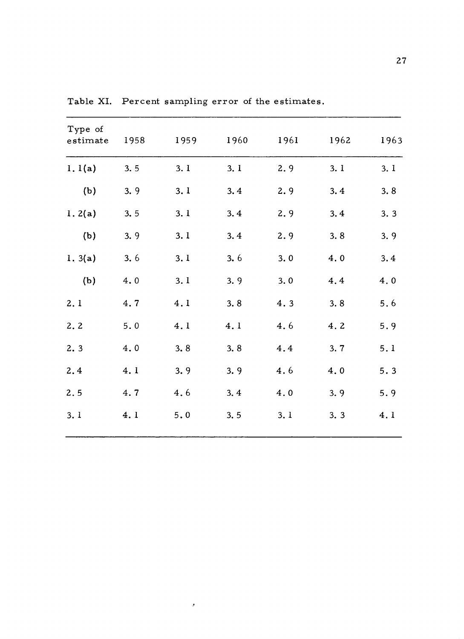| Type of<br>$\tt estimate$ | 1958 | 1959 | 1960 — 1960 — 1970 — 1980 — 1980 — 1980 — 1980 — 1980 — 1980 — 1980 — 1980 — 1980 — 1980 — 1980 — 1980 — 1 | 1961 | 1962 | 1963 |
|---------------------------|------|------|------------------------------------------------------------------------------------------------------------|------|------|------|
| 1.1(a)                    | 3.5  | 3.1  | 3.1                                                                                                        | 2.9  | 3.1  | 3.1  |
| (b)                       | 3.9  | 3.1  | 3.4                                                                                                        | 2.9  | 3.4  | 3.8  |
| 1.2(a)                    | 3.5  | 3.1  | 3.4                                                                                                        | 2.9  | 3.4  | 3.3  |
| (b)                       | 3.9  | 3.1  | 3.4                                                                                                        | 2.9  | 3.8  | 3.9  |
| 1.3(a)                    | 3.6  | 3.1  | 3.6                                                                                                        | 3.0  | 4.0  | 3.4  |
| (b)                       | 4.0  | 3.1  | 3.9                                                                                                        | 3.0  | 4.4  | 4.0  |
| 2.1                       | 4.7  | 4.1  | 3.8                                                                                                        | 4.3  | 3.8  | 5.6  |
| 2.2                       | 5.0  | 4.1  | 4.1                                                                                                        | 4.6  | 4.2  | 5.9  |
| 2.3                       | 4.0  | 3.8  | 3.8                                                                                                        | 4.4  | 3.7  | 5.1  |
| 2.4                       | 4.1  | 3.9  | 3.9                                                                                                        | 4.6  | 4.0  | 5.3  |
| 2.5                       | 4.7  | 4.6  | 3, 4                                                                                                       | 4.0  | 3.9  | 5.9  |
| 3.1                       | 4.1  | 5.0  | 3.5                                                                                                        | 3.1  | 3.3  | 4.1  |
|                           |      |      |                                                                                                            |      |      |      |

Table XI. Percent sampling error of the estimates.

 $\sigma_{\rm eff}$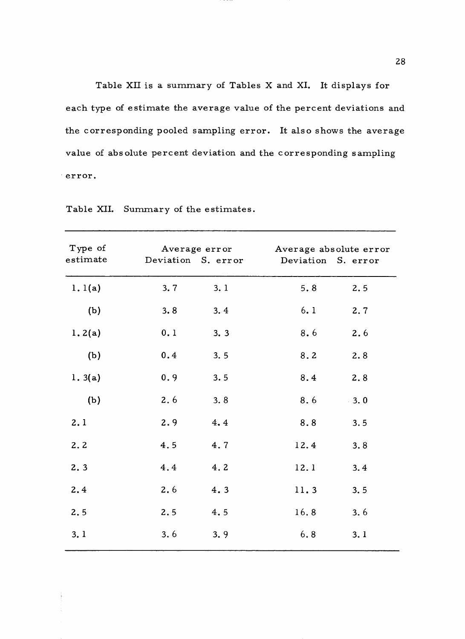Table XII is a summary of Tables X and XI. It displays for each type of estimate the average value of the percent deviations and the corresponding pooled sampling error. It also shows the average value of absolute percent deviation and the corresponding sampling error.

| Type of  |      |     |                                       | Average error Morage absolute error |  |  |
|----------|------|-----|---------------------------------------|-------------------------------------|--|--|
| estimate |      |     | Deviation S. error Deviation S. error |                                     |  |  |
| 1.1(a)   | 3.7  | 3.1 | 5.8                                   | 2.5                                 |  |  |
| (b)      | 3.8  | 3.4 | 6.1                                   | 2.7                                 |  |  |
| 1.2(a)   | 0.1  | 3.3 | 8.6                                   | 2.6                                 |  |  |
| (b)      | 0.4  | 3.5 | 8.2                                   | 2.8                                 |  |  |
| 1.3(a)   | 0.9  | 3.5 | 8.4                                   | 2.8                                 |  |  |
| (b)      | 2.6  | 3.8 | 8.6                                   | 3.0                                 |  |  |
| 2.1      | 2.9  | 4.4 | 8.8                                   | 3.5                                 |  |  |
| 2.2      | 4.5  | 4.7 | 12.4                                  | 3.8                                 |  |  |
| 2.3      | 4.4  | 4.2 | 12.1                                  | 3.4                                 |  |  |
| 2.4      | 2, 6 | 4.3 | 11.3                                  | 3.5                                 |  |  |
| 2.5      | 2.5  | 4.5 | 16.8                                  | 3.6                                 |  |  |
| 3.1      | 3.6  | 3.9 | 6.8                                   | 3.1                                 |  |  |
|          |      |     |                                       |                                     |  |  |

Table XII. Summary of the estimates.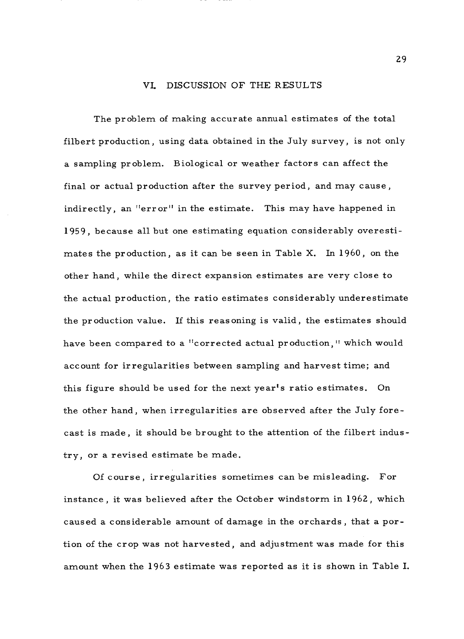#### VI. DISCUSSION OF THE RESULTS

The problem of making accurate annual estimates of the total filbert production, using data obtained in the July survey, is not only a sampling problem. Biological or weather factors can affect the final or actual production after the survey period, and may cause, indirectly, an "error" in the estimate. This may have happened in 1959, because all but one estimating equation considerably overestimates the production, as it can be seen in Table X. In 1960, on the other hand, while the direct expansion estimates are very close to the actual production, the ratio estimates considerably underestimate the production value. If this reasoning is valid, the estimates should have been compared to a "corrected actual production," which would account for irregularities between sampling and harvest time; and this figure should be used for the next year's ratio estimates. On the other hand, when irregularities are observed after the July forecast is made, it should be brought to the attention of the filbert industry, or a revised estimate be made.

Of course, irregularities sometimes can be misleading. For instance, it was believed after the October windstorm in 1962, which caused a considerable amount of damage in the orchards, that a portion of the crop was not harvested, and adjustment was made for this amount when the 1963 estimate was reported as it is shown in Table I.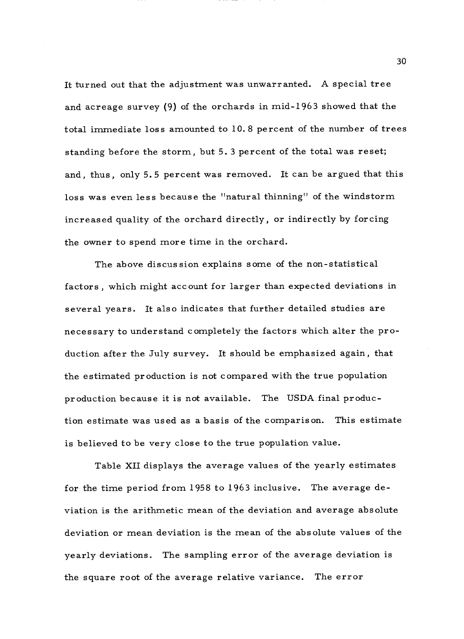It turned out that the adjustment was unwarranted. A special tree and acreage survey (9) of the orchards in mid -1963 showed that the total immediate loss amounted to 10.8 percent of the number of trees standing before the storm, but 5. 3 percent of the total was reset; and, thus, only 5.5 percent was removed. It can be argued that this loss was even less because the "natural thinning" of the windstorm increased quality of the orchard directly, or indirectly by forcing the owner to spend more time in the orchard.

The above discussion explains some of the non-statistical factors, which might account for larger than expected deviations in several years. It also indicates that further detailed studies are necessary to understand completely the factors which alter the production after the July survey. It should be emphasized again, that the estimated production is not compared with the true population production because it is not available. The USDA. final production estimate was used as a basis of the comparison. This estimate is believed to be very close to the true population value.

Table XII displays the average values of the yearly estimates for the time period from 1958 to 1963 inclusive. The average deviation is the arithmetic mean of the deviation and average absolute deviation or mean deviation is the mean of the absolute values of the yearly deviations. The sampling error of the average deviation is the square root of the average relative variance. The error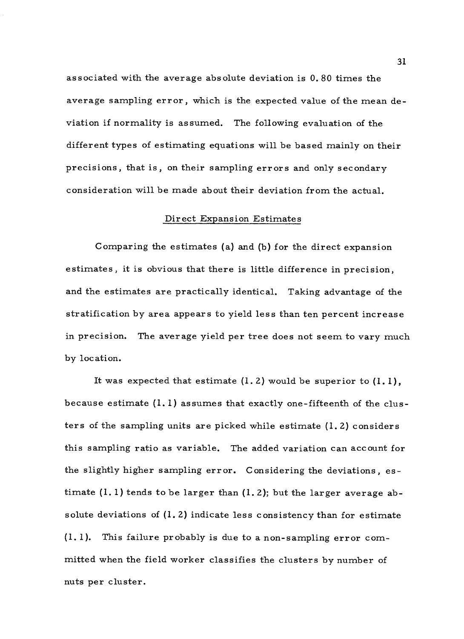associated with the average absolute deviation is 0.80 times the average sampling error, which is the expected value of the mean deviation if normality is assumed. The following evaluation of the different types of estimating equations will be based mainly on their precisions, that is, on their sampling errors and only secondary consideration will be made about their deviation from the actual.

#### Direct Expansion Estimates

Comparing the estimates (a) and (b) for the direct expansion estimates, it is obvious that there is little difference in precision, and the estimates are practically identical. Taking advantage of the stratification by area appears to yield less than ten percent increase in precision. The average yield per tree does not seem to vary much by location.

It was expected that estimate  $(1, 2)$  would be superior to  $(1, 1)$ , because estimate  $(1, 1)$  assumes that exactly one-fifteenth of the clusters of the sampling units are picked while estimate (1. 2) considers this sampling ratio as variable. The added variation can account for the slightly higher sampling error. Considering the deviations, estimate (1. 1) tends to be larger than (1. 2); but the larger average absolute deviations of  $(1, 2)$  indicate less consistency than for estimate (1. 1). This failure probably is due to a non - sampling error committed when the field worker classifies the clusters by number of nuts per cluster.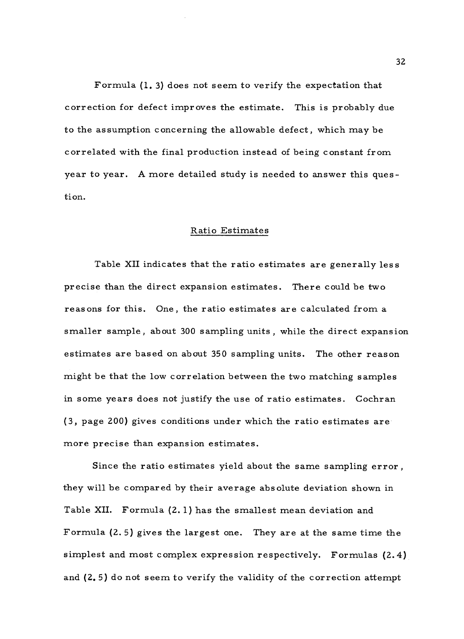Formula (1. 3) does not seem to verify the expectation that correction for defect improves the estimate. This is probably due to the assumption concerning the allowable defect, which may be correlated with the final production instead of being constant from year to year. A more detailed study is needed to answer this question.

#### Ratio Estimates

Table XII indicates that the ratio estimates are generally less precise than the direct expansion estimates. There could be two reasons for this. One, the ratio estimates are calculated from a smaller sample, about 300 sampling units , while the direct expansion estimates are based on about 350 sampling units. The other reason might be that the low correlation between the two matching samples in some years does not justify the use of ratio estimates. Cochran (3, page 200) gives conditions under which the ratio estimates are more precise than expansion estimates.

Since the ratio estimates yield about the same sampling error , they will be compared by their average absolute deviation shown in Table XII. Formula (2. 1) has the smallest mean deviation and Formula (2. 5) gives the largest one. They are at the same time the simplest and most complex expression respectively. Formulas (2.4) and (2. 5) do not seem to verify the validity of the correction attempt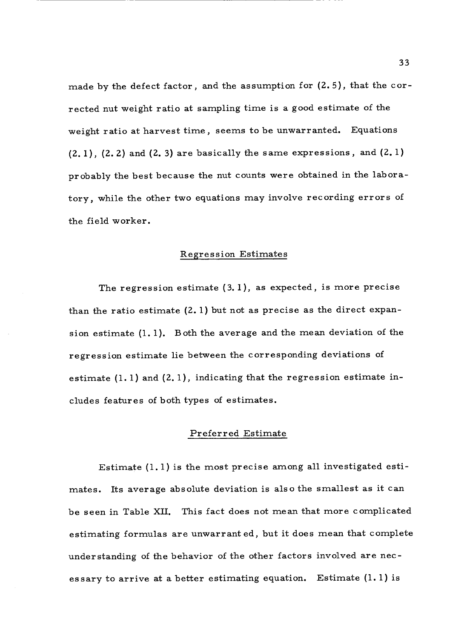made by the defect factor, and the assumption for (2. 5), that the corrected nut weight ratio at sampling time is a good estimate of the weight ratio at harvest time, seems to be unwarranted. Equations  $(2, 1)$ ,  $(2, 2)$  and  $(2, 3)$  are basically the same expressions, and  $(2, 1)$ probably the best because the nut counts were obtained in the laboratory, while the other two equations may involve recording errors of the field worker.

#### Regression Estimates

The regression estimate (3. 1), as expected, is more precise than the ratio estimate  $(2.1)$  but not as precise as the direct expansion estimate (1. 1). Both the average and the mean deviation of the regression estimate lie between the corresponding deviations of estimate (1. 1) and (2. 1), indicating that the regression estimate includes features of both types of estimates.

#### Preferred Estimate

Estimate (1.1) is the most precise among all investigated estimates. Its average absolute deviation is also the smallest as it can be seen in Table XII. This fact does not mean that more complicated estimating formulas are unwarranted, but it does mean that complete understanding of the behavior of the other factors involved are necessary to arrive at a better estimating equation. Estimate  $(l, l)$  is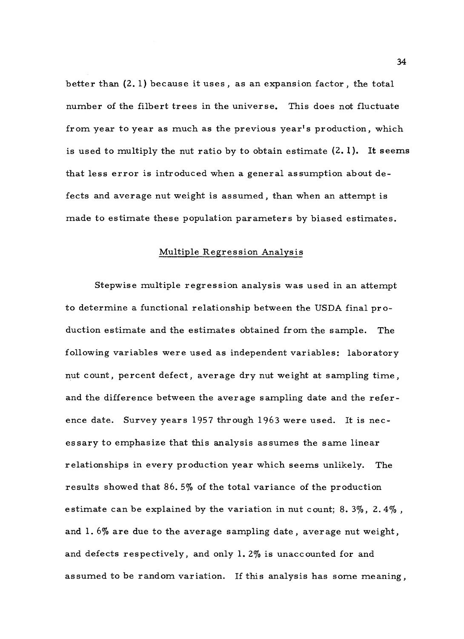better than (2. 1) because it uses , as an expansion factor , the total number of the filbert trees in the universe. This does not fluctuate from year to year as much as the previous year's production, which is used to multiply the nut ratio by to obtain estimate  $(2.1)$ . It seems that less error is introduced when a general assumption about defects and average nut weight is assumed, than when an attempt is made to estimate these population parameters by biased estimates.

#### Multiple Regression Analysis

Stepwise multiple regression analysis was used in an attempt to determine a functional relationship between the USDA final production estimate and the estimates obtained from the sample. The following variables were used as independent variables: laboratory nut count, percent defect, average dry nut weight at sampling time, and the difference between the average sampling date and the reference date. Survey years 1957 through 1963 were used. It is necessary to emphasize that this analysis assumes the same linear relationships in every production year which seems unlikely. The results showed that 86. 5% of the total variance of the production estimate can be explained by the variation in nut count; 8.  $3\%$ , 2.  $4\%$ , and 1. 6% are due to the average sampling date, average nut weight, and defects respectively, and only 1. 2% is unaccounted for and assumed to be random variation. If this analysis has some meaning,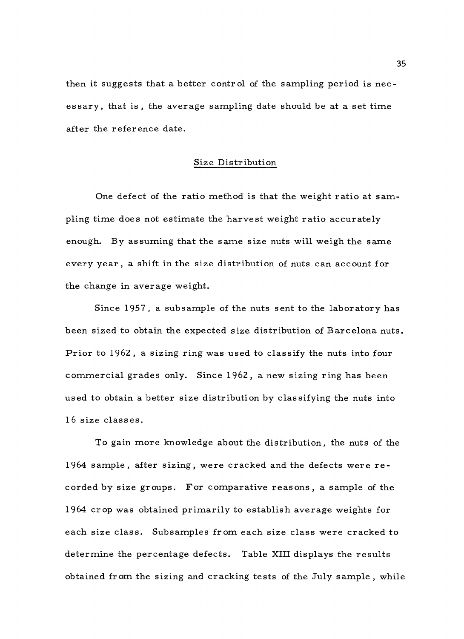then it suggests that a better control of the sampling period is necessary, that is, the average sampling date should be at a set time after the reference date.

#### Size Distribution

One defect of the ratio method is that the weight ratio at sampling time does not estimate the harvest weight ratio accurately enough. By assuming that the same size nuts will weigh the same every year, a shift in the size distribution of nuts can account for the change in average weight.

Since 1957, a subsample of the nuts sent to the laboratory has been sized to obtain the expected size distribution of Barcelona nuts. Prior to 1962, a sizing ring was used to classify the nuts into four commercial grades only. Since 1962, a new sizing ring has been used to obtain a better size distribution by classifying the nuts into 16 size classes.

To gain more knowledge about the distribution, the nuts of the 1964 sample, after sizing, were cracked and the defects were recorded by size groups. For comparative reasons, a sample of the 1964 crop was obtained primarily to establish average weights for each size class. Subsamples from each size class were cracked to determine the percentage defects. Table XIII displays the results obtained from the sizing and cracking tests of the July sample, while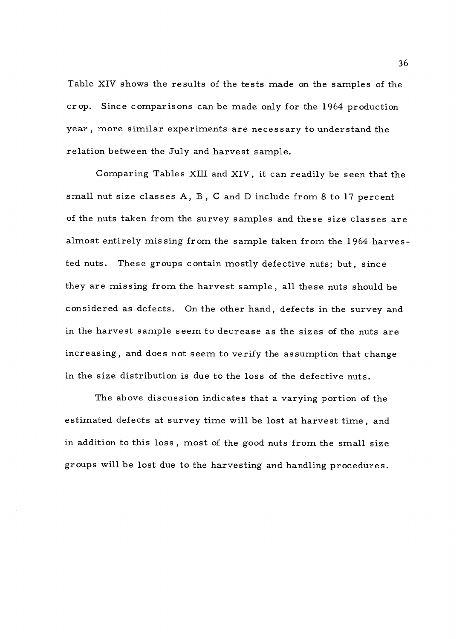Table XIV shows the results of the tests made on the samples of the crop. Since comparisons can be made only for the 1964 production year, more similar experiments are necessary to understand the relation between the July and harvest sample.

Comparing Tables XIII and XIV, it can readily be seen that the small nut size classes A, B , C and D include from 8 to 17 percent of the nuts taken from the survey samples and these size classes are almost entirely missing from the sample taken from the 1964 harvested nuts. These groups contain mostly defective nuts; but, since they are missing from the harvest sample, all these nuts should be considered as defects. On the other hand, defects in the survey and in the harvest sample seem to decrease as the sizes of the nuts are increasing, and does not seem to verify the assumption that change in the size distribution is due to the loss of the defective nuts.

The above discussion indicates that a varying portion of the estimated defects at survey time will be lost at harvest time, and in addition to this loss , most of the good nuts from the small size groups will be lost due to the harvesting and handling procedures.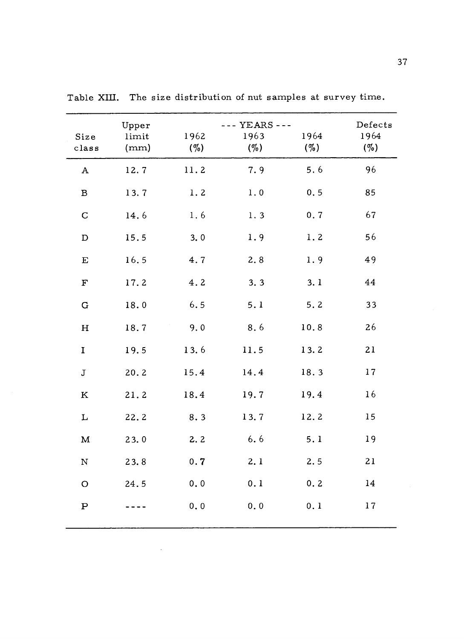| Size<br>class | Upper<br>limit<br>(mm) | 1962<br>$(\%)$ | --- YEARS ---<br>1963<br>$(\%)$ | 1964<br>$(\%)$ | Defects<br>1964<br>$(\%)$ |
|---------------|------------------------|----------------|---------------------------------|----------------|---------------------------|
| $\mathbf A$   | 12.7                   | 11.2           | 7.9                             | 5.6            | 96                        |
| $\, {\bf B}$  | 13.7                   | 1.2            | 1.0                             | 0.5            | 85                        |
| $\mathbf C$   | 14.6                   | 1.6            | 1.3                             | 0.7            | 67                        |
| $\mathbf D$   | 15.5                   | 3.0            | 1.9                             | 1.2            | 56                        |
| $\mathbf E$   | 16.5                   | 4.7            | 2.8                             | 1.9            | 49                        |
| $\mathbf F$   | 17.2                   | 4.2            | 3.3                             | 3.1            | 44                        |
| $\mathbf G$   | 18.0                   | 6.5            | 5.1                             | 5.2            | 33                        |
| $\mathbf H$   | 18.7                   | 9.0            | 8.6                             | 10.8           | 26                        |
| $\mathbf I$   | 19.5                   | 13.6           | 11.5                            | 13.2           | 21                        |
| $\mathbf{J}$  | 20.2                   | 15.4           | 14.4                            | 18.3           | 17                        |
| $\bf K$       | 21.2                   | 18.4           | 19.7                            | 19.4           | 16                        |
| $\mathbf L$   | 22.2                   | 8.3            | 13.7                            | 12.2           | 15                        |
| $\mathbf M$   | 23.0                   | 2.2            | 6.6                             | 5.1            | 19                        |
| $\mathbf N$   | 23.8                   | 0.7            | 2.1                             | 2.5            | 21                        |
| $\mathbf O$   | 24.5                   | 0, 0           | 0.1                             | 0.2            | 14                        |
| $\, {\bf P}$  |                        | 0.0            | 0.0                             | 0.1            | 17                        |

 $\bar{\lambda}$ 

Table XIII. The size distribution of nut samples at survey time.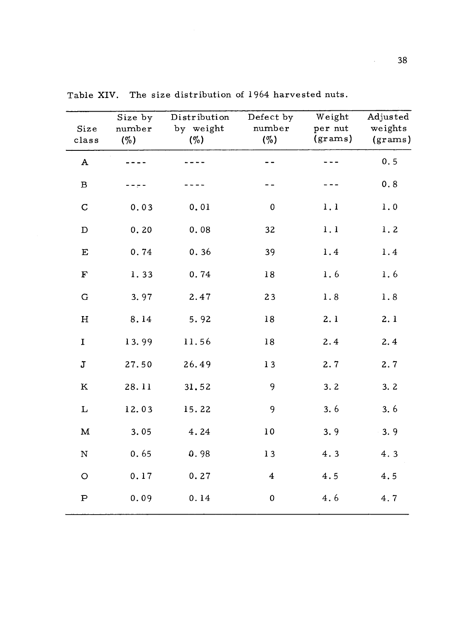| Size<br>class | Size by<br>number<br>$(\%)$ | Distribution<br>by weight<br>$(\%)$ | Defect by<br>number<br>$($ %) | Weight<br>per nut<br>(grams) | Adjusted<br>weights<br>(grams) |
|---------------|-----------------------------|-------------------------------------|-------------------------------|------------------------------|--------------------------------|
| $\mathbf A$   |                             |                                     |                               |                              | 0.5                            |
| $\, {\bf B}$  |                             |                                     |                               |                              | 0.8                            |
| $\mathbf C$   | 0.03                        | 0.01                                | $\pmb{0}$                     | 1, 1                         | 1.0                            |
| $\mathbf D$   | 0.20                        | 0.08                                | 32                            | 1, 1                         | 1.2                            |
| $\mathbf E$   | 0.74                        | 0.36                                | 39                            | 1.4                          | 1.4                            |
| $\mathbf F$   | 1.33                        | 0.74                                | $1\,8$                        | 1.6                          | 1.6                            |
| ${\bf G}$     | 3.97                        | 2.47                                | 23                            | 1.8                          | 1.8                            |
| $\mathbf H$   | 8.14                        | 5.92                                | $18\,$                        | 2.1                          | 2.1                            |
| $\mathbf I$   | 13.99                       | 11.56                               | 18                            | 2.4                          | 2.4                            |
| J             | 27.50                       | 26.49                               | 13                            | 2.7                          | 2.7                            |
| ${\bf K}$     | 28.11                       | 31.52                               | 9                             | 3.2                          | 3.2                            |
| L             | 12.03                       | 15.22                               | 9                             | 3.6                          | 3.6                            |
| $\mathbf M$   | 3.05                        | 4.24                                | 10                            | 3.9                          | 3.9                            |
| ${\bf N}$     | 0.65                        | 0.98                                | 13                            | 4.3                          | 4.3                            |
| $\mathsf O$   | 0.17                        | 0.27                                | $\overline{4}$                | 4.5                          | 4.5                            |
| ${\bf P}$     | 0.09                        | 0.14                                | $\pmb{0}$                     | 4.6                          | 4.7                            |

Table XIV. The size distribution of 1964 harvested nuts.

 $\Delta \sim 10^4$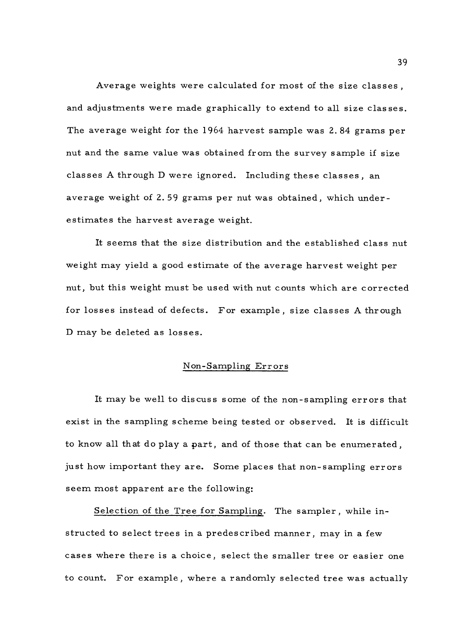Average weights were calculated for most of the size classes , and adjustments were made graphically to extend to all size classes. The average weight for the 1964 harvest sample was 2. 84 grams per nut and the same value was obtained from the survey sample if size classes A through D were ignored. Including these classes, an average weight of 2.59 grams per nut was obtained, which underestimates the harvest average weight.

It seems that the size distribution and the established class nut weight may yield a good estimate of the average harvest weight per nut, but this weight must be used with nut counts which are corrected for losses instead of defects. For example, size classes A through <sup>D</sup>may be deleted as losses.

#### Non -Sampling Errors

It may be well to discuss some of the non -sampling errors that exist in the sampling scheme being tested or observed. It is difficult to know all that do play a part, and of those that can be enumerated, just how important they are. Some places that non-sampling errors seem most apparent are the following:

Selection of the Tree for Sampling. The sampler, while instructed to select trees in a predescribed manner, may in a few cases where there is a choice, select the smaller tree or easier one to count. For example, where a randomly selected tree was actually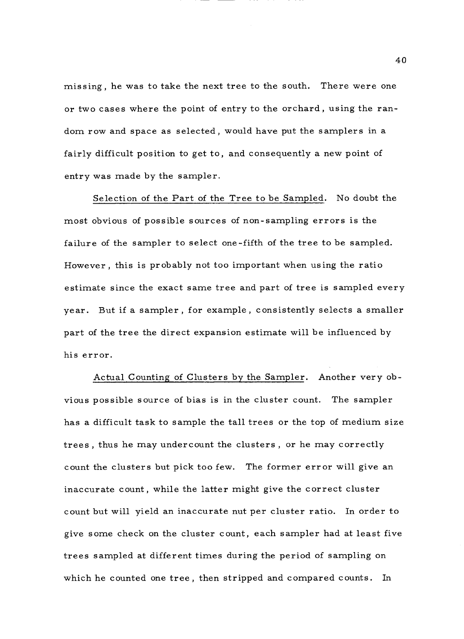missing, he was to take the next tree to the south. There were one or two cases where the point of entry to the orchard, using the random row and space as selected , would have put the samplers in a fairly difficult position to get to, and consequently a new point of entry was made by the sampler.

Selection of the Part of the Tree to be Sampled. No doubt the most obvious of possible sources of non - sampling errors is the failure of the sampler to select one -fifth of the tree to be sampled. However , this is probably not too important when using the ratio estimate since the exact same tree and part of tree is sampled every year. But if a sampler , for example , consistently selects a smaller part of the tree the direct expansion estimate will be influenced by his error.

Actual Counting of Clusters by the Sampler. Another very obvious possible source of bias is in the cluster count. The sampler has a difficult task to sample the tall trees or the top of medium size trees , thus he may undercount the clusters , or he may correctly count the clusters but pick too few. The former error will give an inaccurate count, while the latter might give the correct cluster count but will yield an inaccurate nut per cluster ratio. In order to give some check on the cluster count, each sampler had at least five trees sampled at different times during the period of sampling on which he counted one tree, then stripped and compared counts. In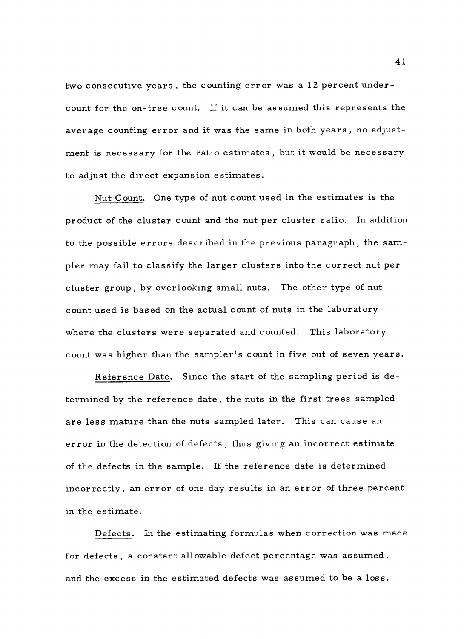two consecutive years, the counting error was a 12 percent undercount for the on -tree count. If it can be assumed this represents the average counting error and it was the same in both years , no adjustment is necessary for the ratio estimates , but it would be necessary to adjust the direct expansion estimates.

Nut Count. One type of nut count used in the estimates is the product of the cluster count and the nut per cluster ratio. In addition to the possible errors described in the previous paragraph, the sampler may fail to classify the larger clusters into the correct nut per cluster group, by overlooking small nuts. The other type of nut count used is based on the actual count of nuts in the laboratory where the clusters were separated and counted. This laboratory count was higher than the sampler's count in five out of seven years.

Reference Date. Since the start of the sampling period is determined by the reference date, the nuts in the first trees sampled are less mature than the nuts sampled later. This can cause an error in the detection of defects, thus giving an incorrect estimate of the defects in the sample. If the reference date is determined incorrectly, an error of one day results in an error of three percent in the estimate.

Defects. In the estimating formulas when correction was made for defects, a constant allowable defect percentage was assumed, and the excess in the estimated defects was assumed to be a loss.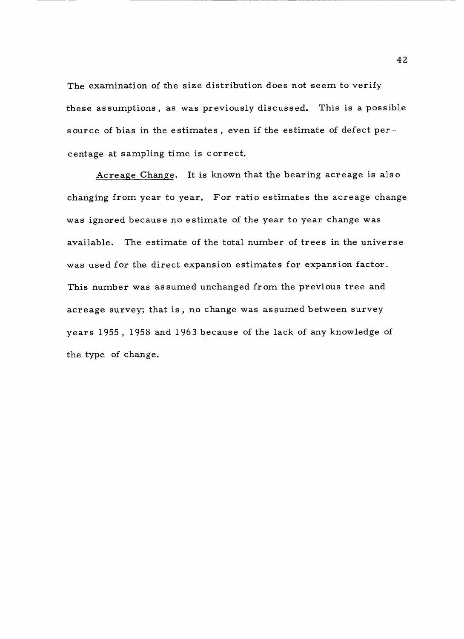The examination of the size distribution does not seem to verify these assumptions, as was previously discussed. This is a possible source of bias in the estimates, even if the estimate of defect  ${\tt per}$  centage at sampling time is correct.

Acreage Change. It is known that the bearing acreage is also changing from year to year. For ratio estimates the acreage change was ignored because no estimate of the year to year change was available. The estimate of the total number of trees in the universe was used for the direct expansion estimates for expansion factor. This number was assumed unchanged from the previous tree and acreage survey; that is, no change was assumed between survey years 1955 , 1958 and 1963 because of the lack of any knowledge of the type of change.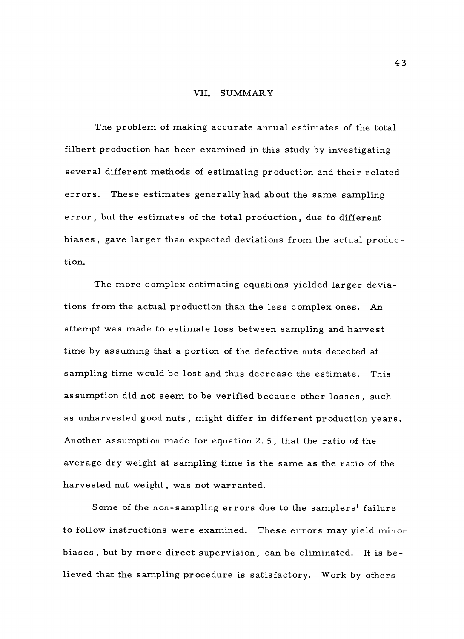#### VII. SUMMARY

The problem of making accurate annual estimates of the total filbert production has been examined in this study by investigating several different methods of estimating production and their related errors. These estimates generally had about the same sampling error , but the estimates of the total production, due to different biases, gave larger than expected deviations from the actual production.

The more complex estimating equations yielded larger deviations from the actual production than the less complex ones. An attempt was made to estimate loss between sampling and harvest time by assuming that a portion of the defective nuts detected at sampling time would be lost and thus decrease the estimate. This assumption did not seem to be verified because other losses, such as unharvested good nuts , might differ in different production years. Another assumption made for equation 2. 5, that the ratio of the average dry weight at sampling time is the same as the ratio of the harvested nut weight, was not warranted.

Some of the non-sampling errors due to the samplers' failure to follow instructions were examined. These errors may yield minor biases , but by more direct supervision, can be eliminated. It is believed that the sampling procedure is satisfactory. Work by others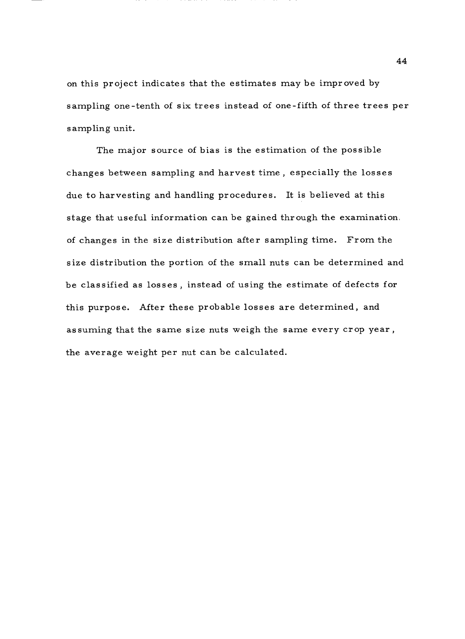on this project indicates that the estimates may be improved by sampling one -tenth of six trees instead of one -fifth of three trees per sampling unit.

The major source of bias is the estimation of the possible changes between sampling and harvest time , especially the losses due to harvesting and handling procedures. It is believed at this stage that useful information can be gained through the examination . of changes in the size distribution after sampling time. From the size distribution the portion of the small nuts can be determined and be classified as losses , instead of using the estimate of defects for this purpose. After these probable losses are determined, and assuming that the same size nuts weigh the same every crop year, the average weight per nut can be calculated.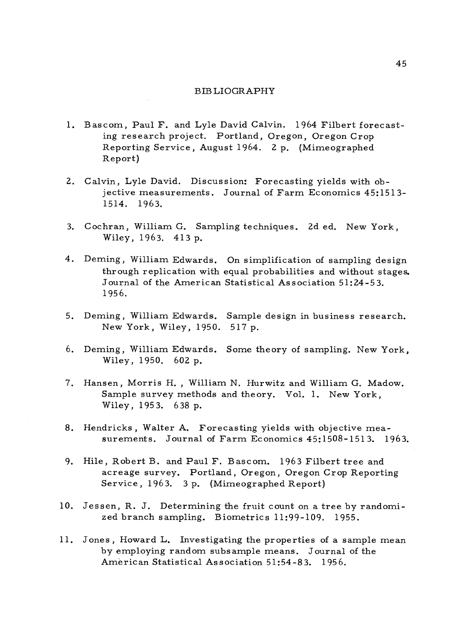#### BIBLIOGRAPHY

- 1. Bascom, Paul F. and Lyle David Calvin. 1964 Filbert forecasting research project. Portland, Oregon, Oregon Crop Reporting Service, August 1964. 2 p. (Mimeographed Report)
- 2. Calvin, Lyle David. Discussion: Forecasting yields with objective measurements. Journal of Farm Economics 45:1513- 1514. 1963.
- 3. Cochran, William G. Sampling techniques. 2d ed. New York, Wiley, 1963. 413 p.
- 4. Deming, William Edwards. On simplification of sampling design through replication with equal probabilities and without stages. Journal of the American Statistical Association 51:24-5 3. 1956.
- 5. Deming, William Edwards. Sample design in business research. New York, Wiley, 1950. 517 p.
- 6. Deming, William Edwards. Some theory of sampling. New York, Wiley, 1950. 602 p.
- 7. Hansen, Morris H. , William N. Hurwitz and William G. Madow. Sample survey methods and theory. Vol. 1. New York, Wiley, 1953. 638 p.
- 8. Hendricks , Walter A. Forecasting yields with objective measurements. Journal of Farm Economics 45:1508-1513. 1963.
- 9. Hile, Robert B. and Paul F. Bascom. 1963 Filbert tree and acreage survey. Portland, Oregon, Oregon Crop Reporting Service, 1963. 3 p. (Mimeographed Report)
- 10. Jessen, R. J. Determining the fruit count on a tree by randomized branch sampling. Biometrics 11:99 -109. 1955.
- 11. Jones , Howard L. Investigating the properties of a sample mean by employing random subsample means. Journal of the American Statistical Association 51:54 -83. 1956.